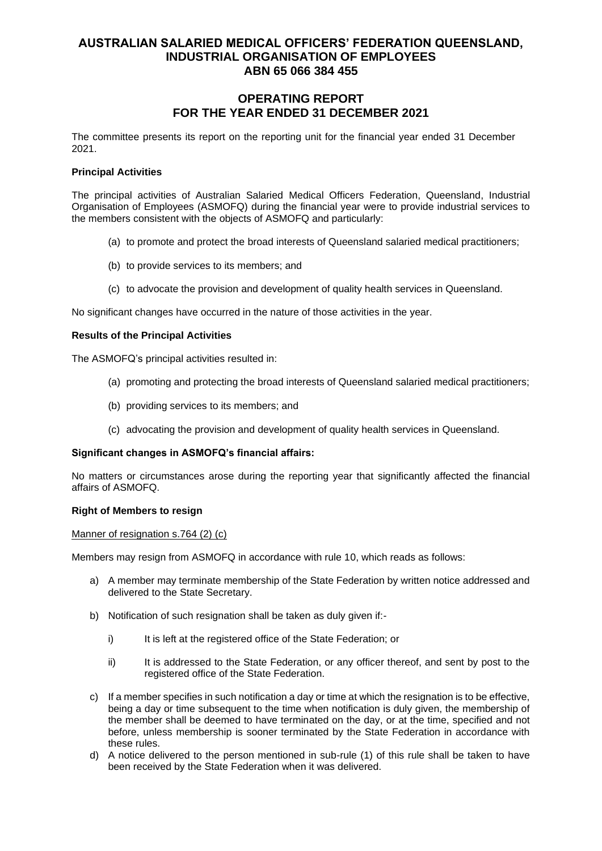# **OPERATING REPORT FOR THE YEAR ENDED 31 DECEMBER 2021**

The committee presents its report on the reporting unit for the financial year ended 31 December 2021.

### **Principal Activities**

The principal activities of Australian Salaried Medical Officers Federation, Queensland, Industrial Organisation of Employees (ASMOFQ) during the financial year were to provide industrial services to the members consistent with the objects of ASMOFQ and particularly:

- (a) to promote and protect the broad interests of Queensland salaried medical practitioners;
- (b) to provide services to its members; and
- (c) to advocate the provision and development of quality health services in Queensland.

No significant changes have occurred in the nature of those activities in the year.

### **Results of the Principal Activities**

The ASMOFQ's principal activities resulted in:

- (a) promoting and protecting the broad interests of Queensland salaried medical practitioners;
- (b) providing services to its members; and
- (c) advocating the provision and development of quality health services in Queensland.

#### **Significant changes in ASMOFQ's financial affairs:**

No matters or circumstances arose during the reporting year that significantly affected the financial affairs of ASMOFQ.

#### **Right of Members to resign**

#### Manner of resignation s.764 (2) (c)

Members may resign from ASMOFQ in accordance with rule 10, which reads as follows:

- a) A member may terminate membership of the State Federation by written notice addressed and delivered to the State Secretary.
- b) Notification of such resignation shall be taken as duly given if:
	- i) It is left at the registered office of the State Federation; or
	- ii) It is addressed to the State Federation, or any officer thereof, and sent by post to the registered office of the State Federation.
- c) If a member specifies in such notification a day or time at which the resignation is to be effective, being a day or time subsequent to the time when notification is duly given, the membership of the member shall be deemed to have terminated on the day, or at the time, specified and not before, unless membership is sooner terminated by the State Federation in accordance with these rules.
- d) A notice delivered to the person mentioned in sub-rule (1) of this rule shall be taken to have been received by the State Federation when it was delivered.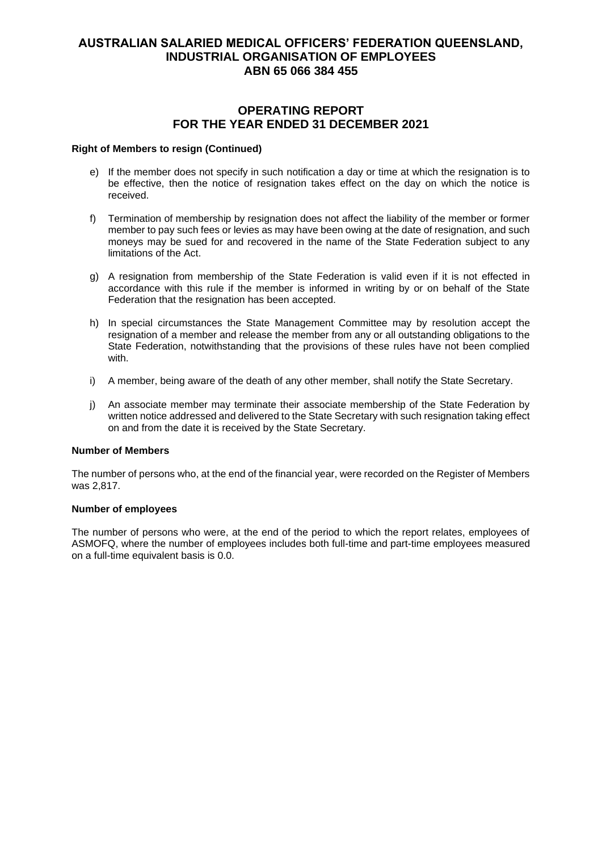# **OPERATING REPORT FOR THE YEAR ENDED 31 DECEMBER 2021**

#### **Right of Members to resign (Continued)**

- e) If the member does not specify in such notification a day or time at which the resignation is to be effective, then the notice of resignation takes effect on the day on which the notice is received.
- f) Termination of membership by resignation does not affect the liability of the member or former member to pay such fees or levies as may have been owing at the date of resignation, and such moneys may be sued for and recovered in the name of the State Federation subject to any limitations of the Act.
- g) A resignation from membership of the State Federation is valid even if it is not effected in accordance with this rule if the member is informed in writing by or on behalf of the State Federation that the resignation has been accepted.
- h) In special circumstances the State Management Committee may by resolution accept the resignation of a member and release the member from any or all outstanding obligations to the State Federation, notwithstanding that the provisions of these rules have not been complied with.
- i) A member, being aware of the death of any other member, shall notify the State Secretary.
- j) An associate member may terminate their associate membership of the State Federation by written notice addressed and delivered to the State Secretary with such resignation taking effect on and from the date it is received by the State Secretary.

### **Number of Members**

The number of persons who, at the end of the financial year, were recorded on the Register of Members was 2,817.

#### **Number of employees**

The number of persons who were, at the end of the period to which the report relates, employees of ASMOFQ, where the number of employees includes both full-time and part-time employees measured on a full-time equivalent basis is 0.0.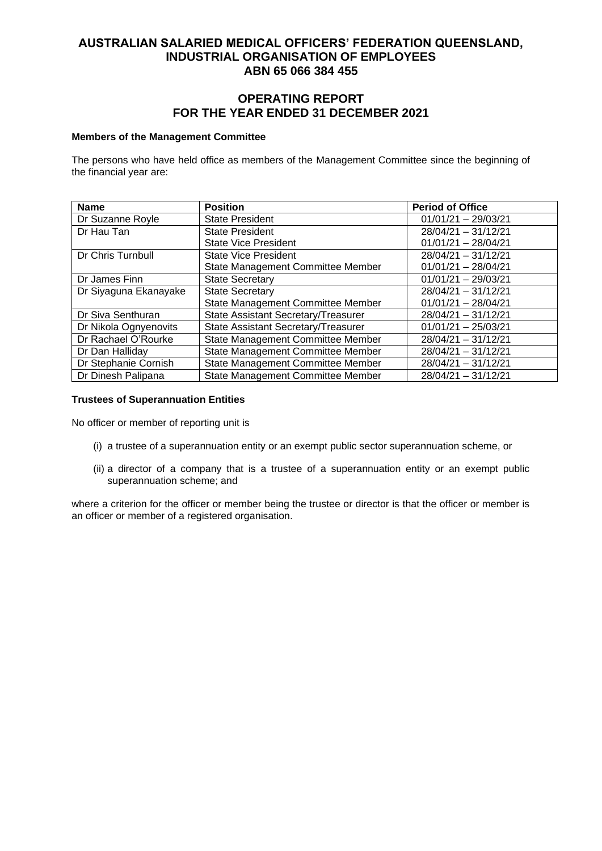# **OPERATING REPORT FOR THE YEAR ENDED 31 DECEMBER 2021**

#### **Members of the Management Committee**

The persons who have held office as members of the Management Committee since the beginning of the financial year are:

| <b>Name</b>           | <b>Position</b>                     | <b>Period of Office</b> |
|-----------------------|-------------------------------------|-------------------------|
| Dr Suzanne Royle      | <b>State President</b>              | $01/01/21 - 29/03/21$   |
| Dr Hau Tan            | <b>State President</b>              | 28/04/21 - 31/12/21     |
|                       | <b>State Vice President</b>         | $01/01/21 - 28/04/21$   |
| Dr Chris Turnbull     | <b>State Vice President</b>         | $28/04/21 - 31/12/21$   |
|                       | State Management Committee Member   | $01/01/21 - 28/04/21$   |
| Dr James Finn         | <b>State Secretary</b>              | $01/01/21 - 29/03/21$   |
| Dr Siyaguna Ekanayake | <b>State Secretary</b>              | $28/04/21 - 31/12/21$   |
|                       | State Management Committee Member   | $01/01/21 - 28/04/21$   |
| Dr Siva Senthuran     | State Assistant Secretary/Treasurer | 28/04/21 - 31/12/21     |
| Dr Nikola Ognyenovits | State Assistant Secretary/Treasurer | $01/01/21 - 25/03/21$   |
| Dr Rachael O'Rourke   | State Management Committee Member   | 28/04/21 - 31/12/21     |
| Dr Dan Halliday       | State Management Committee Member   | $28/04/21 - 31/12/21$   |
| Dr Stephanie Cornish  | State Management Committee Member   | $28/04/21 - 31/12/21$   |
| Dr Dinesh Palipana    | State Management Committee Member   | $28/04/21 - 31/12/21$   |

### **Trustees of Superannuation Entities**

No officer or member of reporting unit is

- (i) a trustee of a superannuation entity or an exempt public sector superannuation scheme, or
- (ii) a director of a company that is a trustee of a superannuation entity or an exempt public superannuation scheme; and

where a criterion for the officer or member being the trustee or director is that the officer or member is an officer or member of a registered organisation.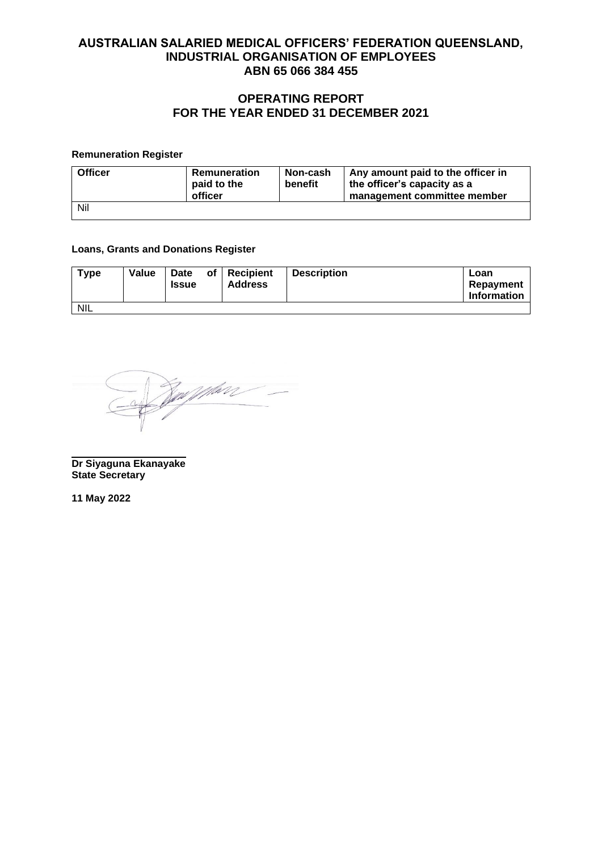# **OPERATING REPORT FOR THE YEAR ENDED 31 DECEMBER 2021**

### **Remuneration Register**

| <b>Officer</b> | Remuneration<br>paid to the<br>officer | Non-cash<br>benefit | Any amount paid to the officer in<br>the officer's capacity as a<br>management committee member |
|----------------|----------------------------------------|---------------------|-------------------------------------------------------------------------------------------------|
| Nil            |                                        |                     |                                                                                                 |

### **Loans, Grants and Donations Register**

| <b>Type</b> | Value | Date<br><b>Issue</b> | of | <b>Recipient</b><br><b>Address</b> | <b>Description</b> | Loan<br>Repayment<br><b>Information</b> |
|-------------|-------|----------------------|----|------------------------------------|--------------------|-----------------------------------------|
| <b>NIL</b>  |       |                      |    |                                    |                    |                                         |

<u>Joseph Williams - </u>

**Dr Siyaguna Ekanayake State Secretary**

**11 May 2022**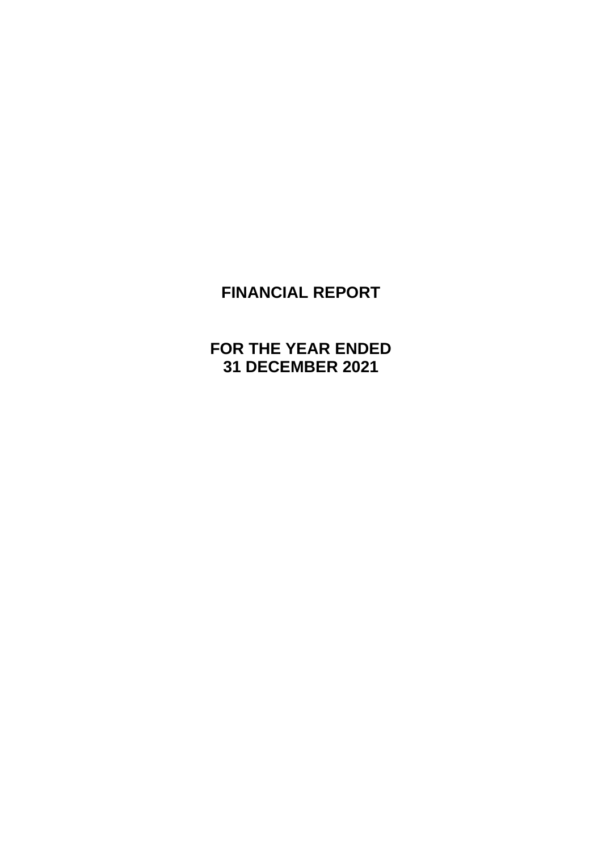# **FINANCIAL REPORT**

**FOR THE YEAR ENDED 31 DECEMBER 2021**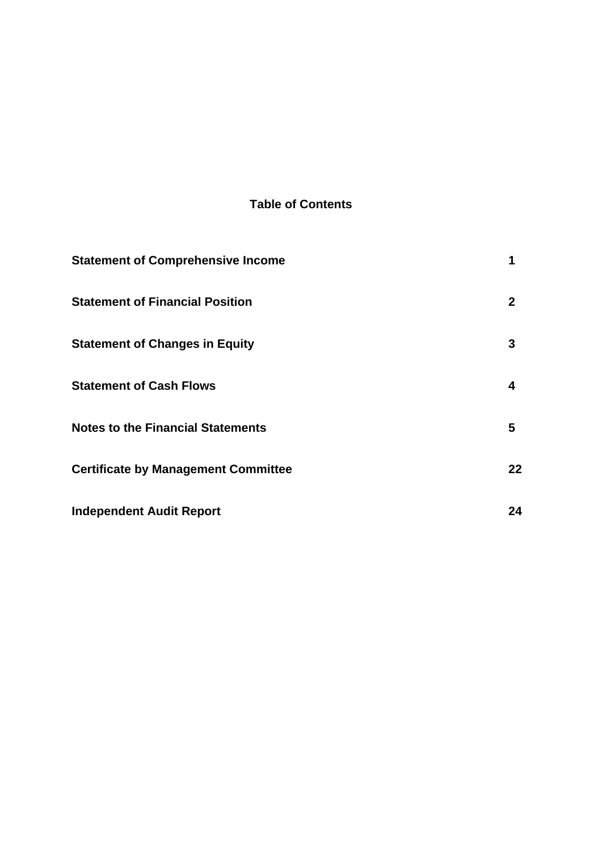# **Table of Contents**

| <b>Statement of Comprehensive Income</b>   | 1            |
|--------------------------------------------|--------------|
| <b>Statement of Financial Position</b>     | $\mathbf{2}$ |
| <b>Statement of Changes in Equity</b>      | 3            |
| <b>Statement of Cash Flows</b>             | 4            |
| <b>Notes to the Financial Statements</b>   | 5            |
| <b>Certificate by Management Committee</b> | 22           |
| <b>Independent Audit Report</b>            | 24           |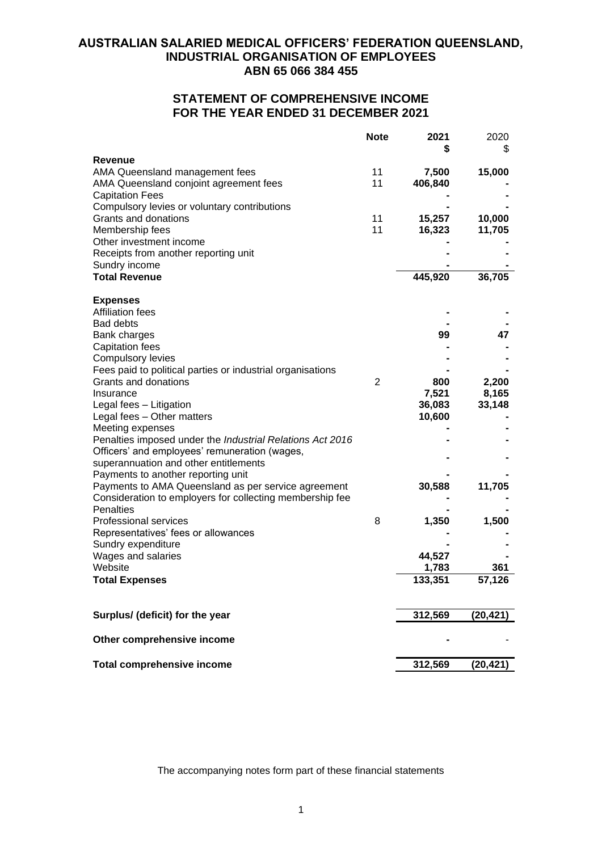# **STATEMENT OF COMPREHENSIVE INCOME FOR THE YEAR ENDED 31 DECEMBER 2021**

|                                                                              | <b>Note</b>    | 2021    | 2020<br>\$ |
|------------------------------------------------------------------------------|----------------|---------|------------|
| Revenue                                                                      |                |         |            |
| AMA Queensland management fees                                               | 11             | 7,500   | 15,000     |
| AMA Queensland conjoint agreement fees                                       | 11             | 406,840 |            |
| <b>Capitation Fees</b>                                                       |                |         |            |
| Compulsory levies or voluntary contributions                                 |                |         |            |
| Grants and donations                                                         | 11             | 15,257  | 10,000     |
| Membership fees                                                              | 11             | 16,323  | 11,705     |
| Other investment income                                                      |                |         |            |
| Receipts from another reporting unit                                         |                |         |            |
| Sundry income                                                                |                |         |            |
| <b>Total Revenue</b>                                                         |                | 445,920 | 36,705     |
| <b>Expenses</b>                                                              |                |         |            |
| <b>Affiliation fees</b>                                                      |                |         |            |
| <b>Bad debts</b>                                                             |                |         |            |
| Bank charges                                                                 |                | 99      | 47         |
| <b>Capitation fees</b>                                                       |                |         |            |
| <b>Compulsory levies</b>                                                     |                |         |            |
| Fees paid to political parties or industrial organisations                   |                |         |            |
| Grants and donations                                                         | $\overline{2}$ | 800     | 2,200      |
| Insurance                                                                    |                | 7,521   | 8,165      |
| Legal fees - Litigation                                                      |                | 36,083  | 33,148     |
| Legal fees - Other matters                                                   |                | 10,600  |            |
| Meeting expenses                                                             |                |         |            |
| Penalties imposed under the Industrial Relations Act 2016                    |                |         |            |
| Officers' and employees' remuneration (wages,                                |                |         |            |
| superannuation and other entitlements                                        |                |         |            |
| Payments to another reporting unit                                           |                |         |            |
| Payments to AMA Queensland as per service agreement                          |                | 30,588  | 11,705     |
| Consideration to employers for collecting membership fee<br><b>Penalties</b> |                |         |            |
| <b>Professional services</b>                                                 | 8              | 1,350   | 1,500      |
| Representatives' fees or allowances                                          |                |         |            |
| Sundry expenditure                                                           |                |         |            |
| Wages and salaries                                                           |                | 44,527  |            |
| Website                                                                      |                | 1,783   | 361        |
| <b>Total Expenses</b>                                                        |                | 133,351 | 57,126     |
|                                                                              |                |         |            |
| Surplus/ (deficit) for the year                                              |                | 312,569 | (20, 421)  |
|                                                                              |                |         |            |
| Other comprehensive income                                                   |                |         |            |
| <b>Total comprehensive income</b>                                            |                | 312,569 | (20, 421)  |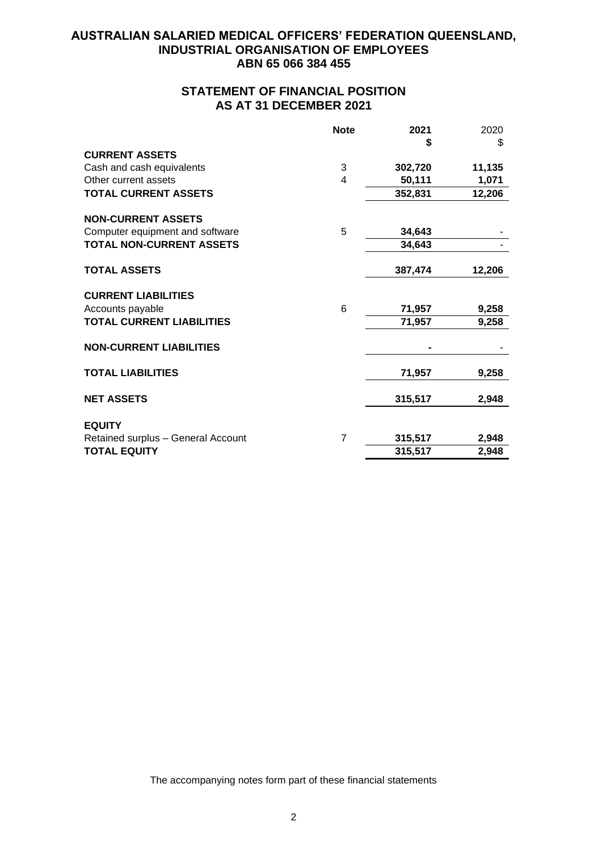# **STATEMENT OF FINANCIAL POSITION AS AT 31 DECEMBER 2021**

|                                    | <b>Note</b>    | 2021    | 2020   |
|------------------------------------|----------------|---------|--------|
|                                    |                | \$      | \$     |
| <b>CURRENT ASSETS</b>              |                |         |        |
| Cash and cash equivalents          | 3              | 302,720 | 11,135 |
| Other current assets               | 4              | 50,111  | 1,071  |
| <b>TOTAL CURRENT ASSETS</b>        |                | 352,831 | 12,206 |
| <b>NON-CURRENT ASSETS</b>          |                |         |        |
| Computer equipment and software    | 5              | 34,643  |        |
| <b>TOTAL NON-CURRENT ASSETS</b>    |                | 34,643  |        |
| <b>TOTAL ASSETS</b>                |                | 387,474 | 12,206 |
| <b>CURRENT LIABILITIES</b>         |                |         |        |
| Accounts payable                   | 6              | 71,957  | 9,258  |
| <b>TOTAL CURRENT LIABILITIES</b>   |                | 71,957  | 9,258  |
| <b>NON-CURRENT LIABILITIES</b>     |                |         |        |
| <b>TOTAL LIABILITIES</b>           |                | 71,957  | 9,258  |
| <b>NET ASSETS</b>                  |                | 315,517 | 2,948  |
| <b>EQUITY</b>                      |                |         |        |
| Retained surplus - General Account | $\overline{7}$ | 315,517 | 2,948  |
| <b>TOTAL EQUITY</b>                |                | 315,517 | 2,948  |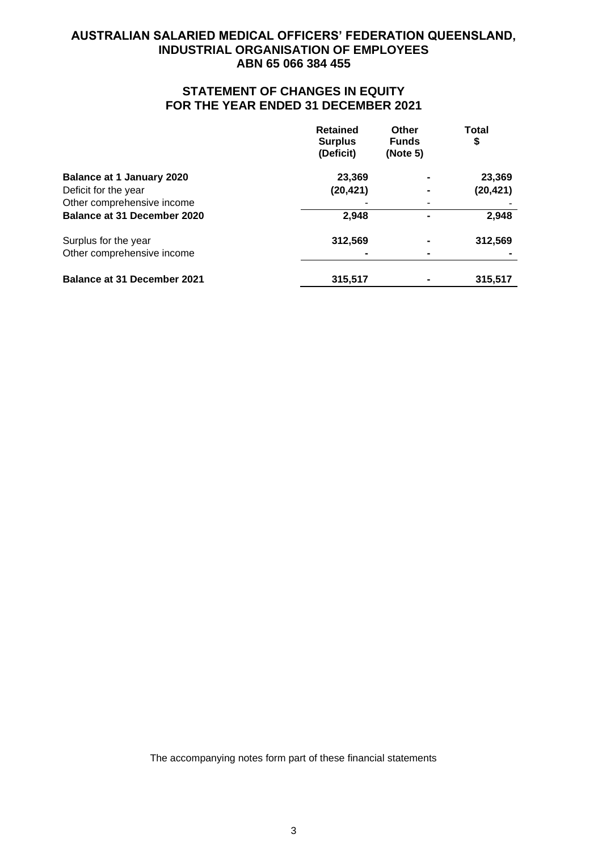# **STATEMENT OF CHANGES IN EQUITY FOR THE YEAR ENDED 31 DECEMBER 2021**

|                                    | <b>Retained</b><br><b>Surplus</b><br>(Deficit) | Other<br><b>Funds</b><br>(Note 5) | <b>Total</b><br>\$ |
|------------------------------------|------------------------------------------------|-----------------------------------|--------------------|
| <b>Balance at 1 January 2020</b>   | 23,369                                         |                                   | 23,369             |
| Deficit for the year               | (20, 421)                                      |                                   | (20, 421)          |
| Other comprehensive income         |                                                |                                   |                    |
| <b>Balance at 31 December 2020</b> | 2,948                                          |                                   | 2,948              |
| Surplus for the year               | 312,569                                        |                                   | 312,569            |
| Other comprehensive income         |                                                | ۰                                 |                    |
| <b>Balance at 31 December 2021</b> | 315,517                                        |                                   | 315,517            |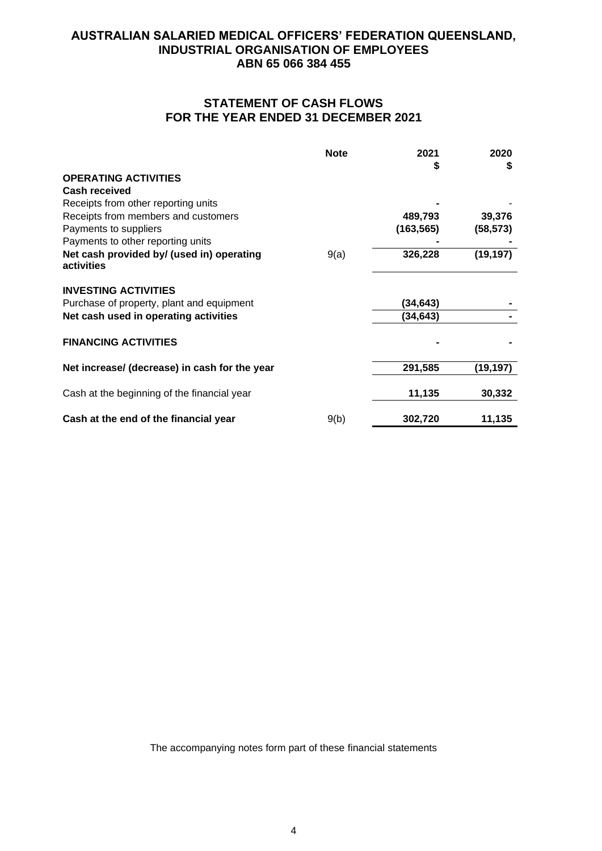# **STATEMENT OF CASH FLOWS FOR THE YEAR ENDED 31 DECEMBER 2021**

|                                                         | <b>Note</b> | 2021       | 2020      |
|---------------------------------------------------------|-------------|------------|-----------|
|                                                         |             | S          | S         |
| <b>OPERATING ACTIVITIES</b>                             |             |            |           |
| Cash received                                           |             |            |           |
| Receipts from other reporting units                     |             |            |           |
| Receipts from members and customers                     |             | 489,793    | 39,376    |
| Payments to suppliers                                   |             | (163, 565) | (58, 573) |
| Payments to other reporting units                       |             |            |           |
| Net cash provided by/ (used in) operating<br>activities | 9(a)        | 326,228    | (19, 197) |
| <b>INVESTING ACTIVITIES</b>                             |             |            |           |
| Purchase of property, plant and equipment               |             | (34, 643)  |           |
| Net cash used in operating activities                   |             | (34, 643)  |           |
| <b>FINANCING ACTIVITIES</b>                             |             |            |           |
| Net increase/ (decrease) in cash for the year           |             | 291,585    | (19,197)  |
|                                                         |             |            | 30,332    |
| Cash at the beginning of the financial year             |             | 11,135     |           |
| Cash at the end of the financial year                   | 9(b)        | 302,720    | 11,135    |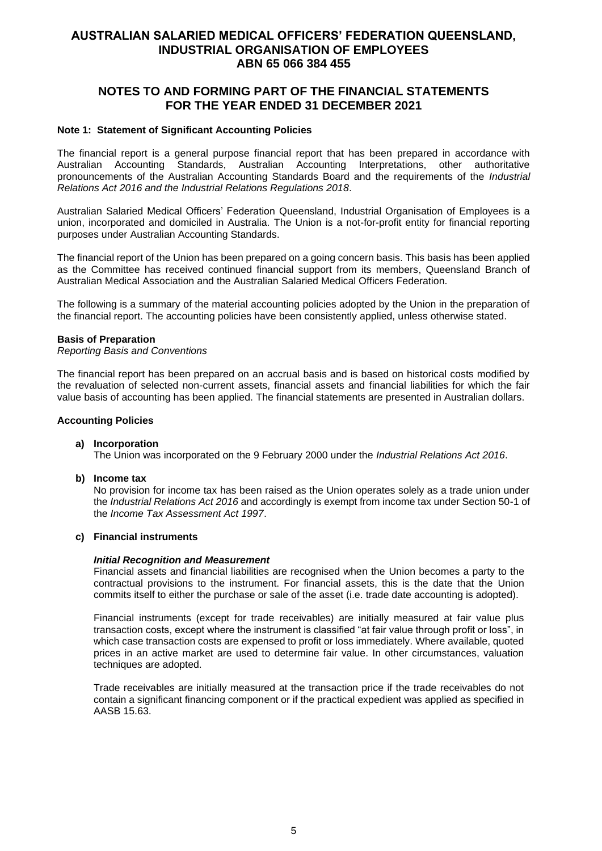# **NOTES TO AND FORMING PART OF THE FINANCIAL STATEMENTS FOR THE YEAR ENDED 31 DECEMBER 2021**

### **Note 1: Statement of Significant Accounting Policies**

The financial report is a general purpose financial report that has been prepared in accordance with Australian Accounting Standards, Australian Accounting Interpretations, other authoritative pronouncements of the Australian Accounting Standards Board and the requirements of the *Industrial Relations Act 2016 and the Industrial Relations Regulations 2018*.

Australian Salaried Medical Officers' Federation Queensland, Industrial Organisation of Employees is a union, incorporated and domiciled in Australia. The Union is a not-for-profit entity for financial reporting purposes under Australian Accounting Standards.

The financial report of the Union has been prepared on a going concern basis. This basis has been applied as the Committee has received continued financial support from its members, Queensland Branch of Australian Medical Association and the Australian Salaried Medical Officers Federation.

The following is a summary of the material accounting policies adopted by the Union in the preparation of the financial report. The accounting policies have been consistently applied, unless otherwise stated.

#### **Basis of Preparation**

*Reporting Basis and Conventions*

The financial report has been prepared on an accrual basis and is based on historical costs modified by the revaluation of selected non-current assets, financial assets and financial liabilities for which the fair value basis of accounting has been applied. The financial statements are presented in Australian dollars.

#### **Accounting Policies**

#### **a) Incorporation**

The Union was incorporated on the 9 February 2000 under the *Industrial Relations Act 2016*.

**b) Income tax**

No provision for income tax has been raised as the Union operates solely as a trade union under the *Industrial Relations Act 2016* and accordingly is exempt from income tax under Section 50-1 of the *Income Tax Assessment Act 1997*.

### **c) Financial instruments**

#### *Initial Recognition and Measurement*

Financial assets and financial liabilities are recognised when the Union becomes a party to the contractual provisions to the instrument. For financial assets, this is the date that the Union commits itself to either the purchase or sale of the asset (i.e. trade date accounting is adopted).

Financial instruments (except for trade receivables) are initially measured at fair value plus transaction costs, except where the instrument is classified "at fair value through profit or loss", in which case transaction costs are expensed to profit or loss immediately. Where available, quoted prices in an active market are used to determine fair value. In other circumstances, valuation techniques are adopted.

Trade receivables are initially measured at the transaction price if the trade receivables do not contain a significant financing component or if the practical expedient was applied as specified in AASB 15.63.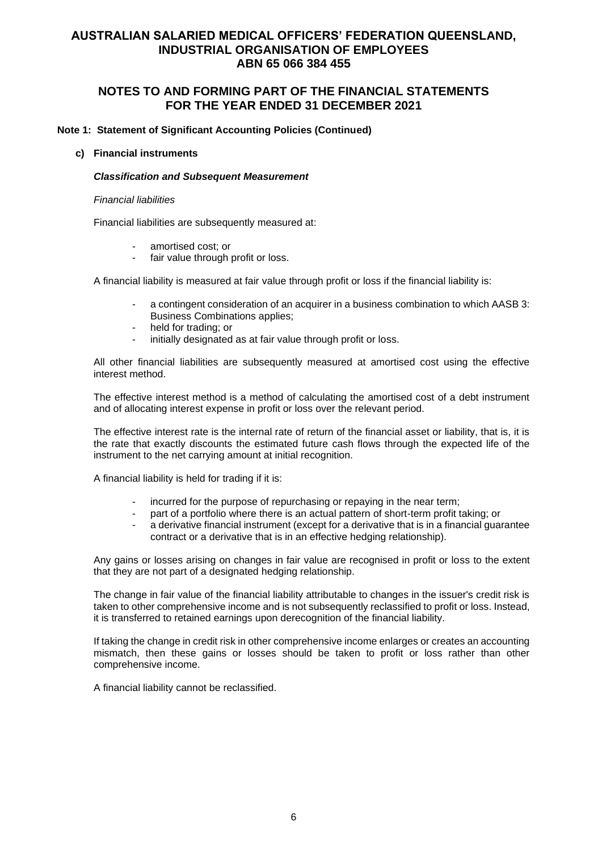# **NOTES TO AND FORMING PART OF THE FINANCIAL STATEMENTS FOR THE YEAR ENDED 31 DECEMBER 2021**

### **Note 1: Statement of Significant Accounting Policies (Continued)**

#### **c) Financial instruments**

#### *Classification and Subsequent Measurement*

#### *Financial liabilities*

Financial liabilities are subsequently measured at:

- amortised cost; or
- fair value through profit or loss.

A financial liability is measured at fair value through profit or loss if the financial liability is:

- a contingent consideration of an acquirer in a business combination to which AASB 3: Business Combinations applies;
- held for trading; or
- initially designated as at fair value through profit or loss.

All other financial liabilities are subsequently measured at amortised cost using the effective interest method.

The effective interest method is a method of calculating the amortised cost of a debt instrument and of allocating interest expense in profit or loss over the relevant period.

The effective interest rate is the internal rate of return of the financial asset or liability, that is, it is the rate that exactly discounts the estimated future cash flows through the expected life of the instrument to the net carrying amount at initial recognition.

A financial liability is held for trading if it is:

- incurred for the purpose of repurchasing or repaying in the near term;
- part of a portfolio where there is an actual pattern of short-term profit taking; or
- a derivative financial instrument (except for a derivative that is in a financial guarantee contract or a derivative that is in an effective hedging relationship).

Any gains or losses arising on changes in fair value are recognised in profit or loss to the extent that they are not part of a designated hedging relationship.

The change in fair value of the financial liability attributable to changes in the issuer's credit risk is taken to other comprehensive income and is not subsequently reclassified to profit or loss. Instead, it is transferred to retained earnings upon derecognition of the financial liability.

If taking the change in credit risk in other comprehensive income enlarges or creates an accounting mismatch, then these gains or losses should be taken to profit or loss rather than other comprehensive income.

A financial liability cannot be reclassified.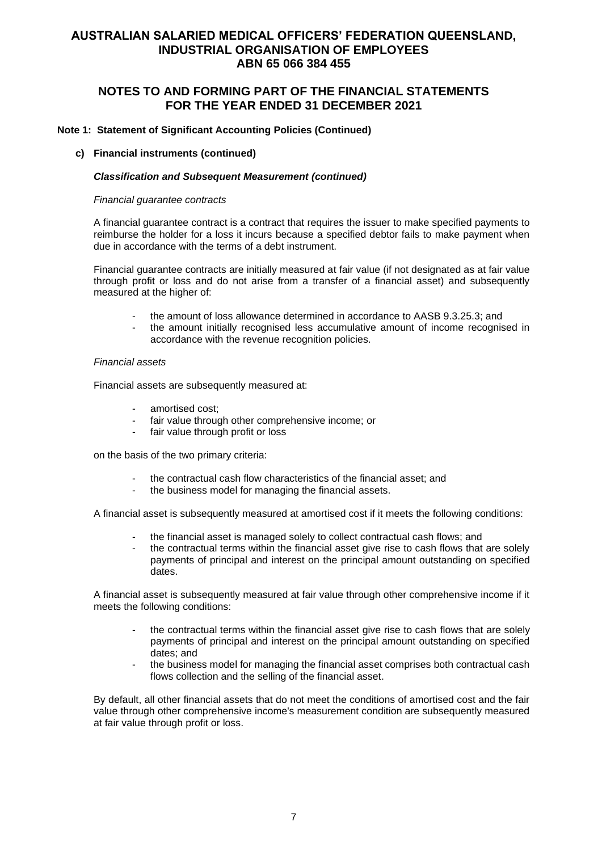# **NOTES TO AND FORMING PART OF THE FINANCIAL STATEMENTS FOR THE YEAR ENDED 31 DECEMBER 2021**

### **Note 1: Statement of Significant Accounting Policies (Continued)**

#### **c) Financial instruments (continued)**

#### *Classification and Subsequent Measurement (continued)*

#### *Financial guarantee contracts*

A financial guarantee contract is a contract that requires the issuer to make specified payments to reimburse the holder for a loss it incurs because a specified debtor fails to make payment when due in accordance with the terms of a debt instrument.

Financial guarantee contracts are initially measured at fair value (if not designated as at fair value through profit or loss and do not arise from a transfer of a financial asset) and subsequently measured at the higher of:

- the amount of loss allowance determined in accordance to AASB 9.3.25.3; and
- the amount initially recognised less accumulative amount of income recognised in accordance with the revenue recognition policies.

#### *Financial assets*

Financial assets are subsequently measured at:

- amortised cost;
- fair value through other comprehensive income; or
- fair value through profit or loss

on the basis of the two primary criteria:

- the contractual cash flow characteristics of the financial asset; and
- the business model for managing the financial assets.

A financial asset is subsequently measured at amortised cost if it meets the following conditions:

- the financial asset is managed solely to collect contractual cash flows; and
- the contractual terms within the financial asset give rise to cash flows that are solely payments of principal and interest on the principal amount outstanding on specified dates.

A financial asset is subsequently measured at fair value through other comprehensive income if it meets the following conditions:

- the contractual terms within the financial asset give rise to cash flows that are solely payments of principal and interest on the principal amount outstanding on specified dates; and
- the business model for managing the financial asset comprises both contractual cash flows collection and the selling of the financial asset.

By default, all other financial assets that do not meet the conditions of amortised cost and the fair value through other comprehensive income's measurement condition are subsequently measured at fair value through profit or loss.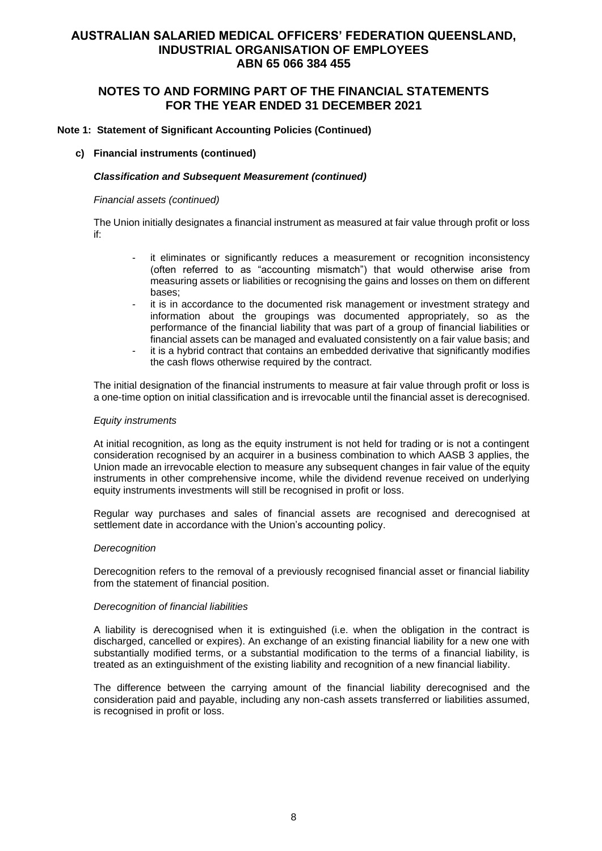# **NOTES TO AND FORMING PART OF THE FINANCIAL STATEMENTS FOR THE YEAR ENDED 31 DECEMBER 2021**

### **Note 1: Statement of Significant Accounting Policies (Continued)**

#### **c) Financial instruments (continued)**

#### *Classification and Subsequent Measurement (continued)*

*Financial assets (continued)*

The Union initially designates a financial instrument as measured at fair value through profit or loss if:

- it eliminates or significantly reduces a measurement or recognition inconsistency (often referred to as "accounting mismatch") that would otherwise arise from measuring assets or liabilities or recognising the gains and losses on them on different bases;
- it is in accordance to the documented risk management or investment strategy and information about the groupings was documented appropriately, so as the performance of the financial liability that was part of a group of financial liabilities or financial assets can be managed and evaluated consistently on a fair value basis; and
- it is a hybrid contract that contains an embedded derivative that significantly modifies the cash flows otherwise required by the contract.

The initial designation of the financial instruments to measure at fair value through profit or loss is a one-time option on initial classification and is irrevocable until the financial asset is derecognised.

#### *Equity instruments*

At initial recognition, as long as the equity instrument is not held for trading or is not a contingent consideration recognised by an acquirer in a business combination to which AASB 3 applies, the Union made an irrevocable election to measure any subsequent changes in fair value of the equity instruments in other comprehensive income, while the dividend revenue received on underlying equity instruments investments will still be recognised in profit or loss.

Regular way purchases and sales of financial assets are recognised and derecognised at settlement date in accordance with the Union's accounting policy.

#### *Derecognition*

Derecognition refers to the removal of a previously recognised financial asset or financial liability from the statement of financial position.

#### *Derecognition of financial liabilities*

A liability is derecognised when it is extinguished (i.e. when the obligation in the contract is discharged, cancelled or expires). An exchange of an existing financial liability for a new one with substantially modified terms, or a substantial modification to the terms of a financial liability, is treated as an extinguishment of the existing liability and recognition of a new financial liability.

The difference between the carrying amount of the financial liability derecognised and the consideration paid and payable, including any non-cash assets transferred or liabilities assumed, is recognised in profit or loss.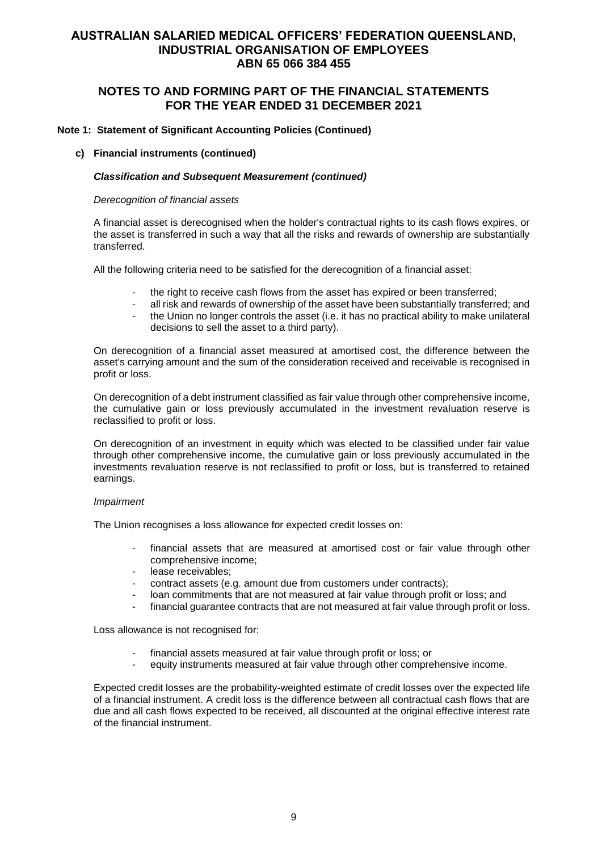# **NOTES TO AND FORMING PART OF THE FINANCIAL STATEMENTS FOR THE YEAR ENDED 31 DECEMBER 2021**

### **Note 1: Statement of Significant Accounting Policies (Continued)**

#### **c) Financial instruments (continued)**

#### *Classification and Subsequent Measurement (continued)*

#### *Derecognition of financial assets*

A financial asset is derecognised when the holder's contractual rights to its cash flows expires, or the asset is transferred in such a way that all the risks and rewards of ownership are substantially transferred.

All the following criteria need to be satisfied for the derecognition of a financial asset:

- the right to receive cash flows from the asset has expired or been transferred;
- all risk and rewards of ownership of the asset have been substantially transferred; and
- the Union no longer controls the asset (i.e. it has no practical ability to make unilateral decisions to sell the asset to a third party).

On derecognition of a financial asset measured at amortised cost, the difference between the asset's carrying amount and the sum of the consideration received and receivable is recognised in profit or loss.

On derecognition of a debt instrument classified as fair value through other comprehensive income. the cumulative gain or loss previously accumulated in the investment revaluation reserve is reclassified to profit or loss.

On derecognition of an investment in equity which was elected to be classified under fair value through other comprehensive income, the cumulative gain or loss previously accumulated in the investments revaluation reserve is not reclassified to profit or loss, but is transferred to retained earnings.

#### *Impairment*

The Union recognises a loss allowance for expected credit losses on:

- financial assets that are measured at amortised cost or fair value through other comprehensive income;
- lease receivables:
- contract assets (e.g. amount due from customers under contracts);
- loan commitments that are not measured at fair value through profit or loss; and
- financial guarantee contracts that are not measured at fair value through profit or loss.

Loss allowance is not recognised for:

- financial assets measured at fair value through profit or loss; or
- equity instruments measured at fair value through other comprehensive income.

Expected credit losses are the probability-weighted estimate of credit losses over the expected life of a financial instrument. A credit loss is the difference between all contractual cash flows that are due and all cash flows expected to be received, all discounted at the original effective interest rate of the financial instrument.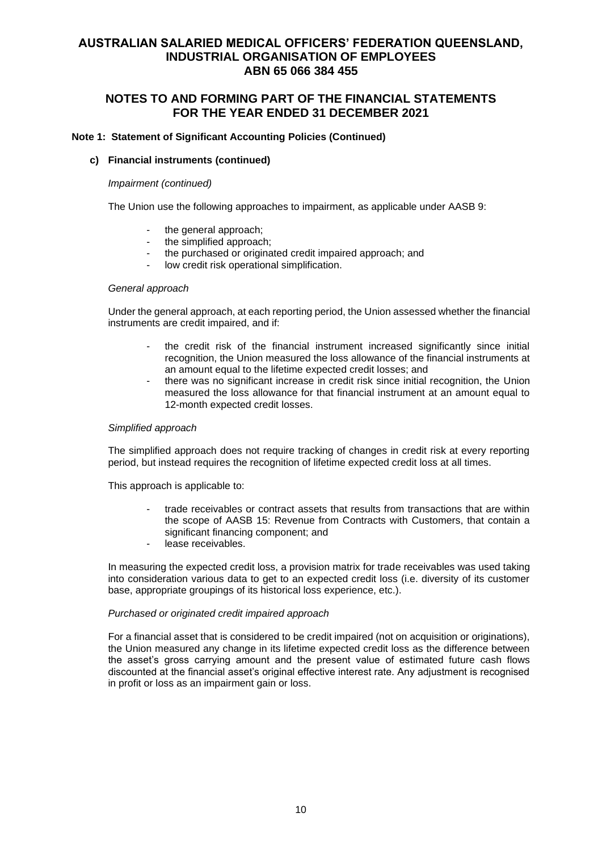# **NOTES TO AND FORMING PART OF THE FINANCIAL STATEMENTS FOR THE YEAR ENDED 31 DECEMBER 2021**

### **Note 1: Statement of Significant Accounting Policies (Continued)**

### **c) Financial instruments (continued)**

#### *Impairment (continued)*

The Union use the following approaches to impairment, as applicable under AASB 9:

- the general approach;
- the simplified approach;
- the purchased or originated credit impaired approach; and
- low credit risk operational simplification.

#### *General approach*

Under the general approach, at each reporting period, the Union assessed whether the financial instruments are credit impaired, and if:

- the credit risk of the financial instrument increased significantly since initial recognition, the Union measured the loss allowance of the financial instruments at an amount equal to the lifetime expected credit losses; and
- there was no significant increase in credit risk since initial recognition, the Union measured the loss allowance for that financial instrument at an amount equal to 12-month expected credit losses.

#### *Simplified approach*

The simplified approach does not require tracking of changes in credit risk at every reporting period, but instead requires the recognition of lifetime expected credit loss at all times.

This approach is applicable to:

- trade receivables or contract assets that results from transactions that are within the scope of AASB 15: Revenue from Contracts with Customers, that contain a significant financing component; and
- lease receivables.

In measuring the expected credit loss, a provision matrix for trade receivables was used taking into consideration various data to get to an expected credit loss (i.e. diversity of its customer base, appropriate groupings of its historical loss experience, etc.).

### *Purchased or originated credit impaired approach*

For a financial asset that is considered to be credit impaired (not on acquisition or originations), the Union measured any change in its lifetime expected credit loss as the difference between the asset's gross carrying amount and the present value of estimated future cash flows discounted at the financial asset's original effective interest rate. Any adjustment is recognised in profit or loss as an impairment gain or loss.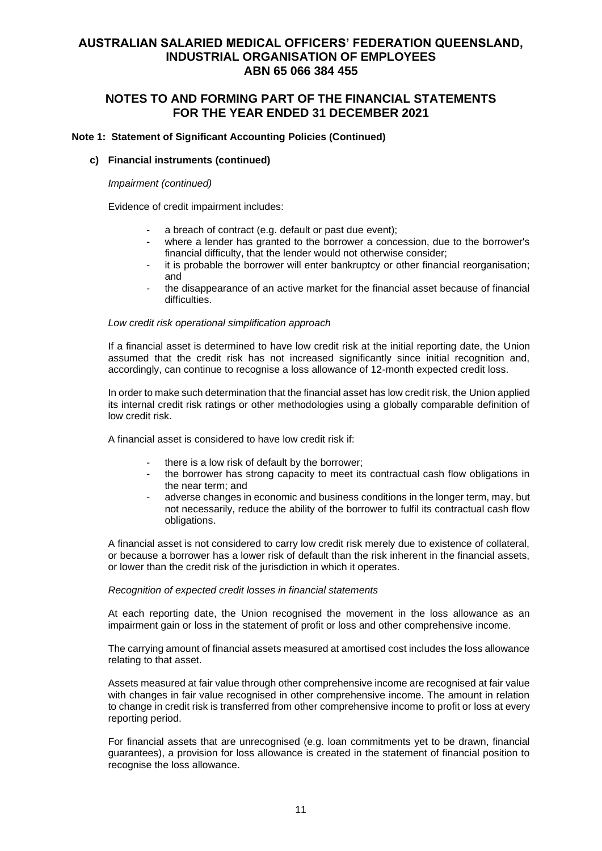# **NOTES TO AND FORMING PART OF THE FINANCIAL STATEMENTS FOR THE YEAR ENDED 31 DECEMBER 2021**

### **Note 1: Statement of Significant Accounting Policies (Continued)**

### **c) Financial instruments (continued)**

#### *Impairment (continued)*

Evidence of credit impairment includes:

- a breach of contract (e.g. default or past due event);
- where a lender has granted to the borrower a concession, due to the borrower's financial difficulty, that the lender would not otherwise consider;
- it is probable the borrower will enter bankruptcy or other financial reorganisation; and
- the disappearance of an active market for the financial asset because of financial difficulties.

#### *Low credit risk operational simplification approach*

If a financial asset is determined to have low credit risk at the initial reporting date, the Union assumed that the credit risk has not increased significantly since initial recognition and, accordingly, can continue to recognise a loss allowance of 12-month expected credit loss.

In order to make such determination that the financial asset has low credit risk, the Union applied its internal credit risk ratings or other methodologies using a globally comparable definition of low credit risk.

A financial asset is considered to have low credit risk if:

- there is a low risk of default by the borrower:
- the borrower has strong capacity to meet its contractual cash flow obligations in the near term; and
- adverse changes in economic and business conditions in the longer term, may, but not necessarily, reduce the ability of the borrower to fulfil its contractual cash flow obligations.

A financial asset is not considered to carry low credit risk merely due to existence of collateral, or because a borrower has a lower risk of default than the risk inherent in the financial assets, or lower than the credit risk of the jurisdiction in which it operates.

### *Recognition of expected credit losses in financial statements*

At each reporting date, the Union recognised the movement in the loss allowance as an impairment gain or loss in the statement of profit or loss and other comprehensive income.

The carrying amount of financial assets measured at amortised cost includes the loss allowance relating to that asset.

Assets measured at fair value through other comprehensive income are recognised at fair value with changes in fair value recognised in other comprehensive income. The amount in relation to change in credit risk is transferred from other comprehensive income to profit or loss at every reporting period.

For financial assets that are unrecognised (e.g. loan commitments yet to be drawn, financial guarantees), a provision for loss allowance is created in the statement of financial position to recognise the loss allowance.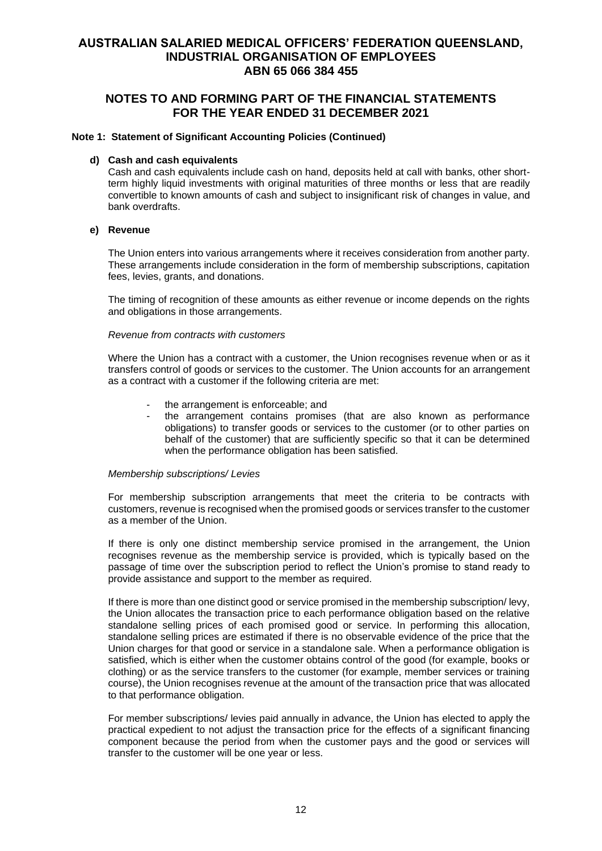# **NOTES TO AND FORMING PART OF THE FINANCIAL STATEMENTS FOR THE YEAR ENDED 31 DECEMBER 2021**

#### **Note 1: Statement of Significant Accounting Policies (Continued)**

### **d) Cash and cash equivalents**

Cash and cash equivalents include cash on hand, deposits held at call with banks, other shortterm highly liquid investments with original maturities of three months or less that are readily convertible to known amounts of cash and subject to insignificant risk of changes in value, and bank overdrafts.

#### **e) Revenue**

The Union enters into various arrangements where it receives consideration from another party. These arrangements include consideration in the form of membership subscriptions, capitation fees, levies, grants, and donations.

The timing of recognition of these amounts as either revenue or income depends on the rights and obligations in those arrangements.

### *Revenue from contracts with customers*

Where the Union has a contract with a customer, the Union recognises revenue when or as it transfers control of goods or services to the customer. The Union accounts for an arrangement as a contract with a customer if the following criteria are met:

- the arrangement is enforceable; and
- the arrangement contains promises (that are also known as performance obligations) to transfer goods or services to the customer (or to other parties on behalf of the customer) that are sufficiently specific so that it can be determined when the performance obligation has been satisfied.

#### *Membership subscriptions/ Levies*

For membership subscription arrangements that meet the criteria to be contracts with customers, revenue is recognised when the promised goods or services transfer to the customer as a member of the Union.

If there is only one distinct membership service promised in the arrangement, the Union recognises revenue as the membership service is provided, which is typically based on the passage of time over the subscription period to reflect the Union's promise to stand ready to provide assistance and support to the member as required.

If there is more than one distinct good or service promised in the membership subscription/ levy, the Union allocates the transaction price to each performance obligation based on the relative standalone selling prices of each promised good or service. In performing this allocation, standalone selling prices are estimated if there is no observable evidence of the price that the Union charges for that good or service in a standalone sale. When a performance obligation is satisfied, which is either when the customer obtains control of the good (for example, books or clothing) or as the service transfers to the customer (for example, member services or training course), the Union recognises revenue at the amount of the transaction price that was allocated to that performance obligation.

For member subscriptions/ levies paid annually in advance, the Union has elected to apply the practical expedient to not adjust the transaction price for the effects of a significant financing component because the period from when the customer pays and the good or services will transfer to the customer will be one year or less.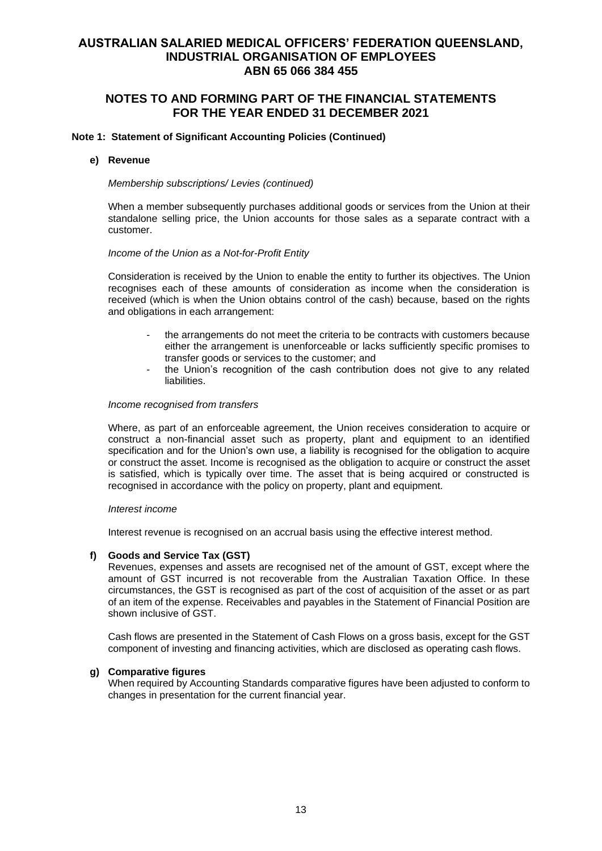# **NOTES TO AND FORMING PART OF THE FINANCIAL STATEMENTS FOR THE YEAR ENDED 31 DECEMBER 2021**

### **Note 1: Statement of Significant Accounting Policies (Continued)**

#### **e) Revenue**

*Membership subscriptions/ Levies (continued)*

When a member subsequently purchases additional goods or services from the Union at their standalone selling price, the Union accounts for those sales as a separate contract with a customer.

#### *Income of the Union as a Not-for-Profit Entity*

Consideration is received by the Union to enable the entity to further its objectives. The Union recognises each of these amounts of consideration as income when the consideration is received (which is when the Union obtains control of the cash) because, based on the rights and obligations in each arrangement:

- the arrangements do not meet the criteria to be contracts with customers because either the arrangement is unenforceable or lacks sufficiently specific promises to transfer goods or services to the customer; and
- the Union's recognition of the cash contribution does not give to any related liabilities.

#### *Income recognised from transfers*

Where, as part of an enforceable agreement, the Union receives consideration to acquire or construct a non-financial asset such as property, plant and equipment to an identified specification and for the Union's own use, a liability is recognised for the obligation to acquire or construct the asset. Income is recognised as the obligation to acquire or construct the asset is satisfied, which is typically over time. The asset that is being acquired or constructed is recognised in accordance with the policy on property, plant and equipment.

#### *Interest income*

Interest revenue is recognised on an accrual basis using the effective interest method.

#### **f) Goods and Service Tax (GST)**

Revenues, expenses and assets are recognised net of the amount of GST, except where the amount of GST incurred is not recoverable from the Australian Taxation Office. In these circumstances, the GST is recognised as part of the cost of acquisition of the asset or as part of an item of the expense. Receivables and payables in the Statement of Financial Position are shown inclusive of GST.

Cash flows are presented in the Statement of Cash Flows on a gross basis, except for the GST component of investing and financing activities, which are disclosed as operating cash flows.

### **g) Comparative figures**

When required by Accounting Standards comparative figures have been adjusted to conform to changes in presentation for the current financial year.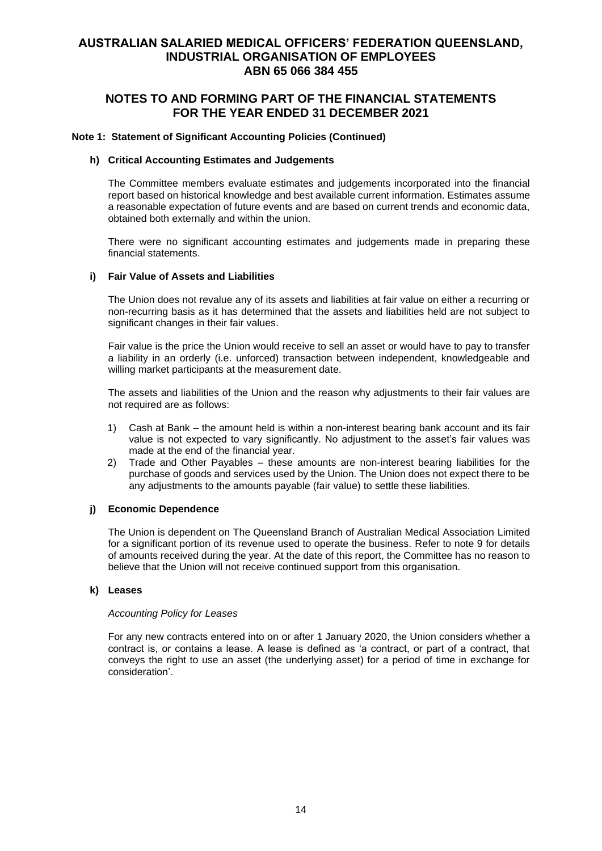# **NOTES TO AND FORMING PART OF THE FINANCIAL STATEMENTS FOR THE YEAR ENDED 31 DECEMBER 2021**

### **Note 1: Statement of Significant Accounting Policies (Continued)**

### **h) Critical Accounting Estimates and Judgements**

The Committee members evaluate estimates and judgements incorporated into the financial report based on historical knowledge and best available current information. Estimates assume a reasonable expectation of future events and are based on current trends and economic data, obtained both externally and within the union.

There were no significant accounting estimates and judgements made in preparing these financial statements.

### **i) Fair Value of Assets and Liabilities**

The Union does not revalue any of its assets and liabilities at fair value on either a recurring or non-recurring basis as it has determined that the assets and liabilities held are not subject to significant changes in their fair values.

Fair value is the price the Union would receive to sell an asset or would have to pay to transfer a liability in an orderly (i.e. unforced) transaction between independent, knowledgeable and willing market participants at the measurement date.

The assets and liabilities of the Union and the reason why adjustments to their fair values are not required are as follows:

- 1) Cash at Bank the amount held is within a non-interest bearing bank account and its fair value is not expected to vary significantly. No adjustment to the asset's fair values was made at the end of the financial year.
- 2) Trade and Other Payables these amounts are non-interest bearing liabilities for the purchase of goods and services used by the Union. The Union does not expect there to be any adjustments to the amounts payable (fair value) to settle these liabilities.

### **j) Economic Dependence**

The Union is dependent on The Queensland Branch of Australian Medical Association Limited for a significant portion of its revenue used to operate the business. Refer to note 9 for details of amounts received during the year. At the date of this report, the Committee has no reason to believe that the Union will not receive continued support from this organisation.

#### **k) Leases**

#### *Accounting Policy for Leases*

For any new contracts entered into on or after 1 January 2020, the Union considers whether a contract is, or contains a lease. A lease is defined as 'a contract, or part of a contract, that conveys the right to use an asset (the underlying asset) for a period of time in exchange for consideration'.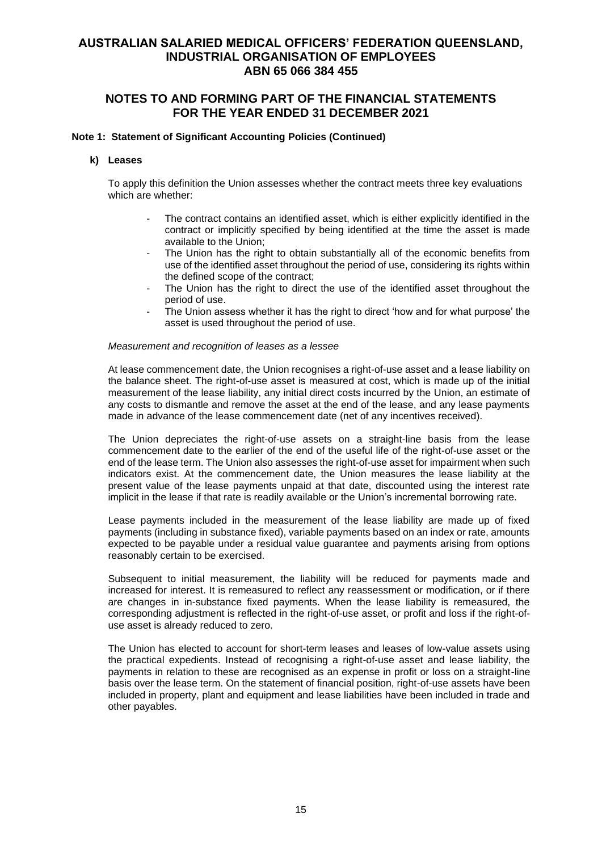# **NOTES TO AND FORMING PART OF THE FINANCIAL STATEMENTS FOR THE YEAR ENDED 31 DECEMBER 2021**

### **Note 1: Statement of Significant Accounting Policies (Continued)**

#### **k) Leases**

To apply this definition the Union assesses whether the contract meets three key evaluations which are whether:

- The contract contains an identified asset, which is either explicitly identified in the contract or implicitly specified by being identified at the time the asset is made available to the Union;
- The Union has the right to obtain substantially all of the economic benefits from use of the identified asset throughout the period of use, considering its rights within the defined scope of the contract;
- The Union has the right to direct the use of the identified asset throughout the period of use.
- The Union assess whether it has the right to direct 'how and for what purpose' the asset is used throughout the period of use.

#### *Measurement and recognition of leases as a lessee*

At lease commencement date, the Union recognises a right-of-use asset and a lease liability on the balance sheet. The right-of-use asset is measured at cost, which is made up of the initial measurement of the lease liability, any initial direct costs incurred by the Union, an estimate of any costs to dismantle and remove the asset at the end of the lease, and any lease payments made in advance of the lease commencement date (net of any incentives received).

The Union depreciates the right-of-use assets on a straight-line basis from the lease commencement date to the earlier of the end of the useful life of the right-of-use asset or the end of the lease term. The Union also assesses the right-of-use asset for impairment when such indicators exist. At the commencement date, the Union measures the lease liability at the present value of the lease payments unpaid at that date, discounted using the interest rate implicit in the lease if that rate is readily available or the Union's incremental borrowing rate.

Lease payments included in the measurement of the lease liability are made up of fixed payments (including in substance fixed), variable payments based on an index or rate, amounts expected to be payable under a residual value guarantee and payments arising from options reasonably certain to be exercised.

Subsequent to initial measurement, the liability will be reduced for payments made and increased for interest. It is remeasured to reflect any reassessment or modification, or if there are changes in in-substance fixed payments. When the lease liability is remeasured, the corresponding adjustment is reflected in the right-of-use asset, or profit and loss if the right-ofuse asset is already reduced to zero.

The Union has elected to account for short-term leases and leases of low-value assets using the practical expedients. Instead of recognising a right-of-use asset and lease liability, the payments in relation to these are recognised as an expense in profit or loss on a straight-line basis over the lease term. On the statement of financial position, right-of-use assets have been included in property, plant and equipment and lease liabilities have been included in trade and other payables.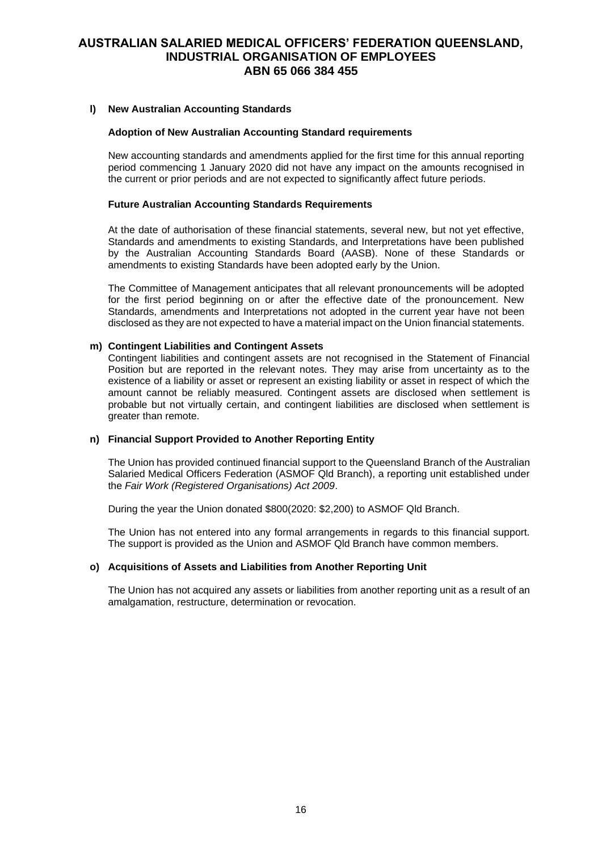### **l) New Australian Accounting Standards**

#### **Adoption of New Australian Accounting Standard requirements**

New accounting standards and amendments applied for the first time for this annual reporting period commencing 1 January 2020 did not have any impact on the amounts recognised in the current or prior periods and are not expected to significantly affect future periods.

#### **Future Australian Accounting Standards Requirements**

At the date of authorisation of these financial statements, several new, but not yet effective, Standards and amendments to existing Standards, and Interpretations have been published by the Australian Accounting Standards Board (AASB). None of these Standards or amendments to existing Standards have been adopted early by the Union.

The Committee of Management anticipates that all relevant pronouncements will be adopted for the first period beginning on or after the effective date of the pronouncement. New Standards, amendments and Interpretations not adopted in the current year have not been disclosed as they are not expected to have a material impact on the Union financial statements.

### **m) Contingent Liabilities and Contingent Assets**

Contingent liabilities and contingent assets are not recognised in the Statement of Financial Position but are reported in the relevant notes. They may arise from uncertainty as to the existence of a liability or asset or represent an existing liability or asset in respect of which the amount cannot be reliably measured. Contingent assets are disclosed when settlement is probable but not virtually certain, and contingent liabilities are disclosed when settlement is greater than remote.

### **n) Financial Support Provided to Another Reporting Entity**

The Union has provided continued financial support to the Queensland Branch of the Australian Salaried Medical Officers Federation (ASMOF Qld Branch), a reporting unit established under the *Fair Work (Registered Organisations) Act 2009*.

During the year the Union donated \$800(2020: \$2,200) to ASMOF Qld Branch.

The Union has not entered into any formal arrangements in regards to this financial support. The support is provided as the Union and ASMOF Qld Branch have common members.

#### **o) Acquisitions of Assets and Liabilities from Another Reporting Unit**

The Union has not acquired any assets or liabilities from another reporting unit as a result of an amalgamation, restructure, determination or revocation.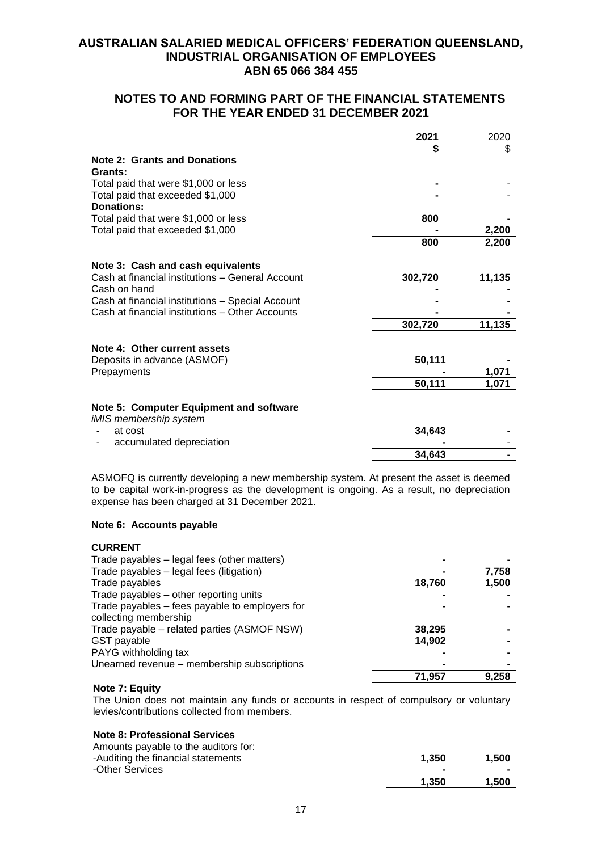# **NOTES TO AND FORMING PART OF THE FINANCIAL STATEMENTS FOR THE YEAR ENDED 31 DECEMBER 2021**

|                                                  | 2021    | 2020   |
|--------------------------------------------------|---------|--------|
|                                                  | 5       | \$     |
| <b>Note 2: Grants and Donations</b>              |         |        |
| Grants:                                          |         |        |
| Total paid that were \$1,000 or less             |         |        |
| Total paid that exceeded \$1,000                 |         |        |
| <b>Donations:</b>                                |         |        |
| Total paid that were \$1,000 or less             | 800     |        |
| Total paid that exceeded \$1,000                 |         | 2,200  |
|                                                  | 800     | 2,200  |
| Note 3: Cash and cash equivalents                |         |        |
| Cash at financial institutions - General Account | 302,720 | 11,135 |
| Cash on hand                                     |         |        |
| Cash at financial institutions - Special Account |         |        |
| Cash at financial institutions - Other Accounts  |         |        |
|                                                  | 302,720 | 11,135 |
|                                                  |         |        |
| Note 4: Other current assets                     |         |        |
| Deposits in advance (ASMOF)                      | 50,111  |        |
| Prepayments                                      |         | 1,071  |
|                                                  | 50,111  | 1.071  |
| Note 5: Computer Equipment and software          |         |        |
| iMIS membership system                           |         |        |
| at cost                                          | 34,643  |        |
| accumulated depreciation                         |         |        |
|                                                  | 34,643  |        |

ASMOFQ is currently developing a new membership system. At present the asset is deemed to be capital work-in-progress as the development is ongoing. As a result, no depreciation expense has been charged at 31 December 2021.

### **Note 6: Accounts payable**

**CURRENT**

| Trade payables - legal fees (other matters)    |        |       |
|------------------------------------------------|--------|-------|
| Trade payables - legal fees (litigation)       |        | 7,758 |
| Trade payables                                 | 18,760 | 1,500 |
| Trade payables – other reporting units         |        |       |
| Trade payables – fees payable to employers for |        |       |
| collecting membership                          |        |       |
| Trade payable – related parties (ASMOF NSW)    | 38,295 |       |
| GST payable                                    | 14,902 |       |
| PAYG withholding tax                           |        |       |
| Unearned revenue - membership subscriptions    |        |       |
|                                                | 71.957 | 9.258 |

### **Note 7: Equity**

The Union does not maintain any funds or accounts in respect of compulsory or voluntary levies/contributions collected from members.

### **Note 8: Professional Services**

| Amounts payable to the auditors for: |       |       |
|--------------------------------------|-------|-------|
| -Auditing the financial statements   | 1.350 | 1.500 |
| -Other Services                      |       |       |
|                                      | 1.350 | 1.500 |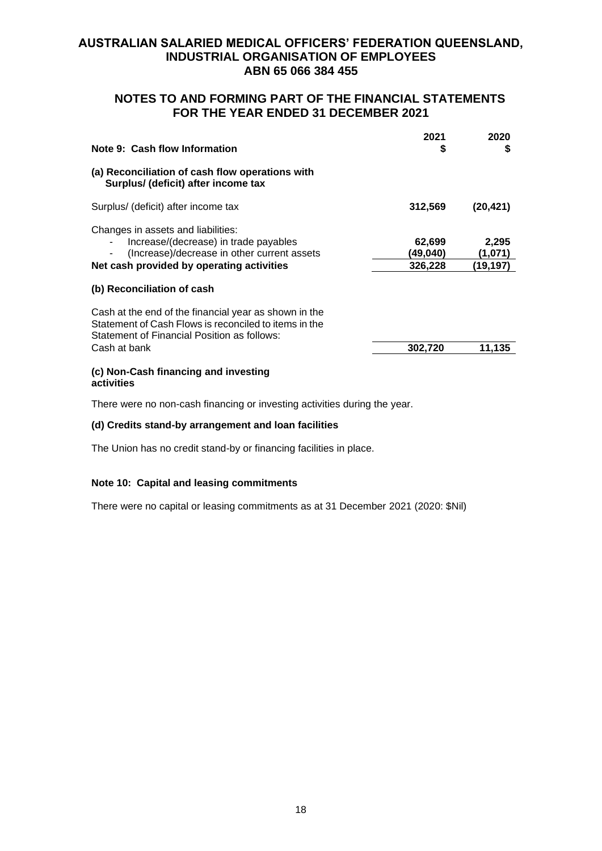# **NOTES TO AND FORMING PART OF THE FINANCIAL STATEMENTS FOR THE YEAR ENDED 31 DECEMBER 2021**

| Note 9: Cash flow Information                                                                                                                                           | 2021<br>S                     | 2020<br>S                    |
|-------------------------------------------------------------------------------------------------------------------------------------------------------------------------|-------------------------------|------------------------------|
| (a) Reconciliation of cash flow operations with<br>Surplus/ (deficit) after income tax                                                                                  |                               |                              |
| Surplus/ (deficit) after income tax                                                                                                                                     | 312,569                       | (20, 421)                    |
| Changes in assets and liabilities:<br>Increase/(decrease) in trade payables<br>(Increase)/decrease in other current assets<br>Net cash provided by operating activities | 62,699<br>(49.040)<br>326,228 | 2,295<br>(1,071)<br>(19,197) |
| (b) Reconciliation of cash                                                                                                                                              |                               |                              |
| Cash at the end of the financial year as shown in the<br>Statement of Cash Flows is reconciled to items in the<br>Statement of Financial Position as follows:           |                               |                              |
| Cash at bank                                                                                                                                                            | 302,720                       | 11,135                       |
| (c) Non-Cash financing and investing<br>activities                                                                                                                      |                               |                              |

There were no non-cash financing or investing activities during the year.

### **(d) Credits stand-by arrangement and loan facilities**

The Union has no credit stand-by or financing facilities in place.

### **Note 10: Capital and leasing commitments**

There were no capital or leasing commitments as at 31 December 2021 (2020: \$Nil)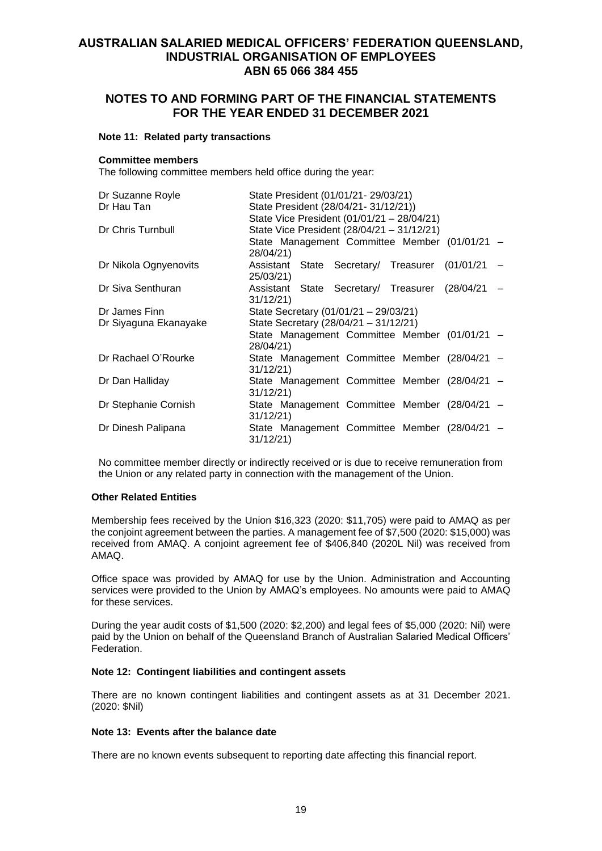# **NOTES TO AND FORMING PART OF THE FINANCIAL STATEMENTS FOR THE YEAR ENDED 31 DECEMBER 2021**

#### **Note 11: Related party transactions**

#### **Committee members**

The following committee members held office during the year:

| Dr Suzanne Royle      | State President (01/01/21-29/03/21)                           |  |  |  |
|-----------------------|---------------------------------------------------------------|--|--|--|
| Dr Hau Tan            | State President (28/04/21-31/12/21))                          |  |  |  |
|                       | State Vice President (01/01/21 - 28/04/21)                    |  |  |  |
| Dr Chris Turnbull     | State Vice President (28/04/21 - 31/12/21)                    |  |  |  |
|                       | State Management Committee Member (01/01/21 -                 |  |  |  |
|                       | 28/04/21)                                                     |  |  |  |
| Dr Nikola Ognyenovits | Assistant State Secretary/ Treasurer (01/01/21 -<br>25/03/21) |  |  |  |
| Dr Siva Senthuran     | Assistant State Secretary/ Treasurer (28/04/21                |  |  |  |
|                       | 31/12/21                                                      |  |  |  |
| Dr James Finn         | State Secretary (01/01/21 - 29/03/21)                         |  |  |  |
| Dr Siyaguna Ekanayake | State Secretary (28/04/21 - 31/12/21)                         |  |  |  |
|                       | State Management Committee Member (01/01/21 -<br>28/04/21)    |  |  |  |
| Dr Rachael O'Rourke   | State Management Committee Member (28/04/21 -                 |  |  |  |
|                       | 31/12/21                                                      |  |  |  |
| Dr Dan Halliday       | State Management Committee Member (28/04/21 -                 |  |  |  |
|                       | 31/12/21                                                      |  |  |  |
| Dr Stephanie Cornish  | State Management Committee Member (28/04/21 -                 |  |  |  |
|                       | 31/12/21                                                      |  |  |  |
| Dr Dinesh Palipana    | State Management Committee Member (28/04/21 -<br>31/12/21     |  |  |  |

No committee member directly or indirectly received or is due to receive remuneration from the Union or any related party in connection with the management of the Union.

### **Other Related Entities**

Membership fees received by the Union \$16,323 (2020: \$11,705) were paid to AMAQ as per the conjoint agreement between the parties. A management fee of \$7,500 (2020: \$15,000) was received from AMAQ. A conjoint agreement fee of \$406,840 (2020L Nil) was received from AMAQ.

Office space was provided by AMAQ for use by the Union. Administration and Accounting services were provided to the Union by AMAQ's employees. No amounts were paid to AMAQ for these services.

During the year audit costs of \$1,500 (2020: \$2,200) and legal fees of \$5,000 (2020: Nil) were paid by the Union on behalf of the Queensland Branch of Australian Salaried Medical Officers' Federation.

#### **Note 12: Contingent liabilities and contingent assets**

There are no known contingent liabilities and contingent assets as at 31 December 2021. (2020: \$Nil)

#### **Note 13: Events after the balance date**

There are no known events subsequent to reporting date affecting this financial report.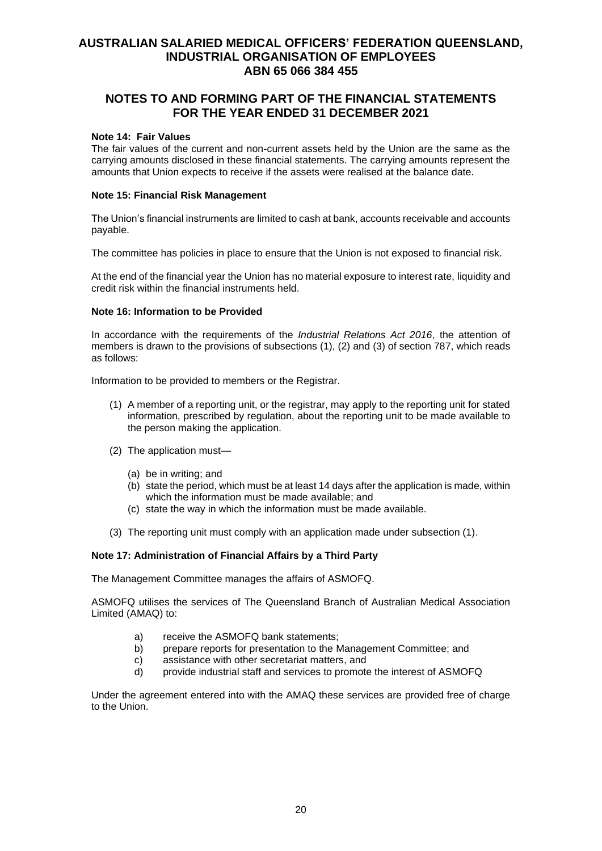# **NOTES TO AND FORMING PART OF THE FINANCIAL STATEMENTS FOR THE YEAR ENDED 31 DECEMBER 2021**

#### **Note 14: Fair Values**

The fair values of the current and non-current assets held by the Union are the same as the carrying amounts disclosed in these financial statements. The carrying amounts represent the amounts that Union expects to receive if the assets were realised at the balance date.

### **Note 15: Financial Risk Management**

The Union's financial instruments are limited to cash at bank, accounts receivable and accounts payable.

The committee has policies in place to ensure that the Union is not exposed to financial risk.

At the end of the financial year the Union has no material exposure to interest rate, liquidity and credit risk within the financial instruments held.

### **Note 16: Information to be Provided**

In accordance with the requirements of the *Industrial Relations Act 2016*, the attention of members is drawn to the provisions of subsections (1), (2) and (3) of section 787, which reads as follows:

Information to be provided to members or the Registrar.

- (1) A member of a reporting unit, or the registrar, may apply to the reporting unit for stated information, prescribed by regulation, about the reporting unit to be made available to the person making the application.
- (2) The application must—
	- (a) be in writing; and
	- (b) state the period, which must be at least 14 days after the application is made, within which the information must be made available; and
	- (c) state the way in which the information must be made available.
- (3) The reporting unit must comply with an application made under subsection (1).

### **Note 17: Administration of Financial Affairs by a Third Party**

The Management Committee manages the affairs of ASMOFQ.

ASMOFQ utilises the services of The Queensland Branch of Australian Medical Association Limited (AMAQ) to:

- a) receive the ASMOFQ bank statements;
- b) prepare reports for presentation to the Management Committee; and
- c) assistance with other secretariat matters, and
- d) provide industrial staff and services to promote the interest of ASMOFQ

Under the agreement entered into with the AMAQ these services are provided free of charge to the Union.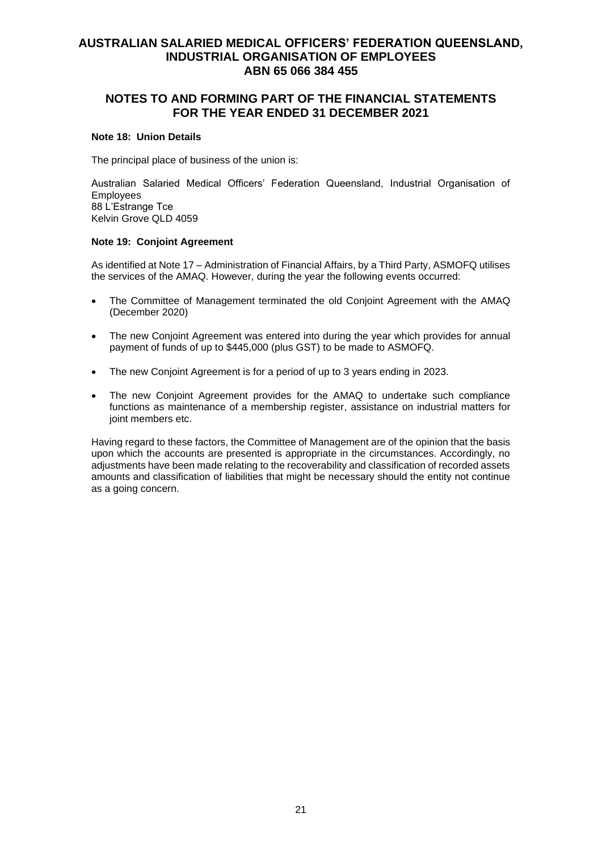# **NOTES TO AND FORMING PART OF THE FINANCIAL STATEMENTS FOR THE YEAR ENDED 31 DECEMBER 2021**

### **Note 18: Union Details**

The principal place of business of the union is:

Australian Salaried Medical Officers' Federation Queensland, Industrial Organisation of Employees 88 L'Estrange Tce Kelvin Grove QLD 4059

### **Note 19: Conjoint Agreement**

As identified at Note 17 – Administration of Financial Affairs, by a Third Party, ASMOFQ utilises the services of the AMAQ. However, during the year the following events occurred:

- The Committee of Management terminated the old Conjoint Agreement with the AMAQ (December 2020)
- The new Conjoint Agreement was entered into during the year which provides for annual payment of funds of up to \$445,000 (plus GST) to be made to ASMOFQ.
- The new Conjoint Agreement is for a period of up to 3 years ending in 2023.
- The new Conjoint Agreement provides for the AMAQ to undertake such compliance functions as maintenance of a membership register, assistance on industrial matters for joint members etc.

Having regard to these factors, the Committee of Management are of the opinion that the basis upon which the accounts are presented is appropriate in the circumstances. Accordingly, no adjustments have been made relating to the recoverability and classification of recorded assets amounts and classification of liabilities that might be necessary should the entity not continue as a going concern.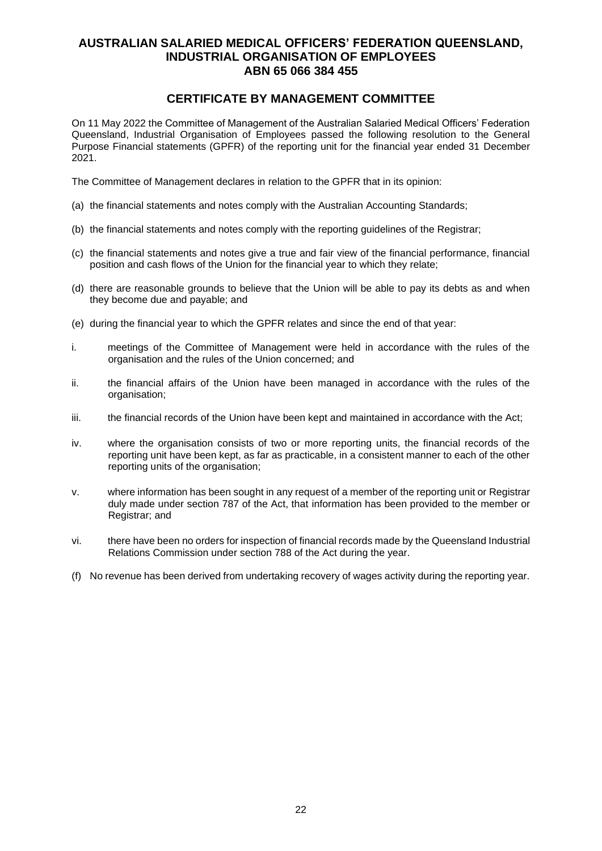# **CERTIFICATE BY MANAGEMENT COMMITTEE**

On 11 May 2022 the Committee of Management of the Australian Salaried Medical Officers' Federation Queensland, Industrial Organisation of Employees passed the following resolution to the General Purpose Financial statements (GPFR) of the reporting unit for the financial year ended 31 December 2021.

The Committee of Management declares in relation to the GPFR that in its opinion:

- (a) the financial statements and notes comply with the Australian Accounting Standards;
- (b) the financial statements and notes comply with the reporting guidelines of the Registrar;
- (c) the financial statements and notes give a true and fair view of the financial performance, financial position and cash flows of the Union for the financial year to which they relate;
- (d) there are reasonable grounds to believe that the Union will be able to pay its debts as and when they become due and payable; and
- (e) during the financial year to which the GPFR relates and since the end of that year:
- i. meetings of the Committee of Management were held in accordance with the rules of the organisation and the rules of the Union concerned; and
- ii. the financial affairs of the Union have been managed in accordance with the rules of the organisation;
- iii. the financial records of the Union have been kept and maintained in accordance with the Act;
- iv. where the organisation consists of two or more reporting units, the financial records of the reporting unit have been kept, as far as practicable, in a consistent manner to each of the other reporting units of the organisation;
- v. where information has been sought in any request of a member of the reporting unit or Registrar duly made under section 787 of the Act, that information has been provided to the member or Registrar; and
- vi. there have been no orders for inspection of financial records made by the Queensland Industrial Relations Commission under section 788 of the Act during the year.
- (f) No revenue has been derived from undertaking recovery of wages activity during the reporting year.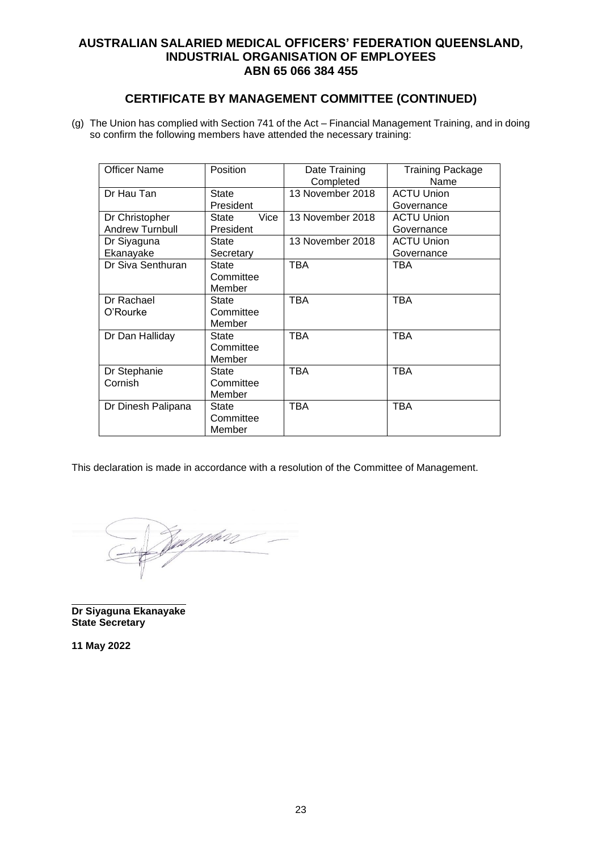# **CERTIFICATE BY MANAGEMENT COMMITTEE (CONTINUED)**

(g) The Union has complied with Section 741 of the Act – Financial Management Training, and in doing so confirm the following members have attended the necessary training:

| <b>Officer Name</b><br>Position |               | Date Training    | <b>Training Package</b> |
|---------------------------------|---------------|------------------|-------------------------|
|                                 |               | Completed        | Name                    |
| Dr Hau Tan                      | <b>State</b>  | 13 November 2018 | <b>ACTU Union</b>       |
|                                 | President     |                  | Governance              |
| Dr Christopher                  | Vice<br>State | 13 November 2018 | <b>ACTU Union</b>       |
| Andrew Turnbull                 | President     |                  | Governance              |
| Dr Siyaguna                     | <b>State</b>  | 13 November 2018 | <b>ACTU Union</b>       |
| Ekanayake                       | Secretary     |                  | Governance              |
| Dr Siva Senthuran               | State         | <b>TBA</b>       | TBA                     |
|                                 | Committee     |                  |                         |
|                                 | Member        |                  |                         |
| Dr Rachael                      | <b>State</b>  | <b>TBA</b>       | TBA                     |
| O'Rourke                        | Committee     |                  |                         |
|                                 | Member        |                  |                         |
| Dr Dan Halliday                 | State         | <b>TBA</b>       | <b>TBA</b>              |
|                                 | Committee     |                  |                         |
|                                 | Member        |                  |                         |
| Dr Stephanie                    | State         | <b>TBA</b>       | <b>TBA</b>              |
| Cornish                         | Committee     |                  |                         |
|                                 | Member        |                  |                         |
| Dr Dinesh Palipana              | State         | <b>TBA</b>       | <b>TBA</b>              |
|                                 | Committee     |                  |                         |
|                                 | Member        |                  |                         |

This declaration is made in accordance with a resolution of the Committee of Management.

<u>Zan jep</u>hore

**Dr Siyaguna Ekanayake State Secretary**

**11 May 2022**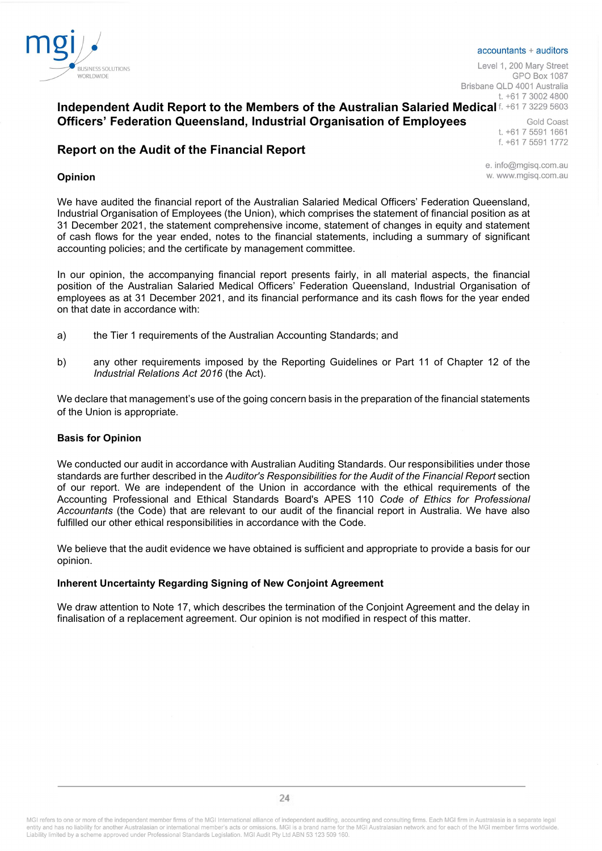

#### accountants + auditors

Level 1, 200 Mary Street **GPO Box 1087** Brisbane OLD 4001 Australia t. +61 7 3002 4800

# Independent Audit Report to the Members of the Australian Salaried Medical f. +61 7 3229 5603 Officers' Federation Queensland, Industrial Organisation of Employees

Gold Coast t. +61 7 5591 1661 f. +61 7 5591 1772

# Report on the Audit of the Financial Report

#### Opinion

e. info@mgisg.com.au w. www.mgisg.com.au

We have audited the financial report of the Australian Salaried Medical Officers' Federation Queensland, Industrial Organisation of Employees (the Union), which comprises the statement of financial position as at 31 December 2021, the statement comprehensive income, statement of changes in equity and statement of cash flows for the year ended, notes to the financial statements, including a summary of significant accounting policies; and the certificate by management committee.

In our opinion, the accompanying financial report presents fairly, in all material aspects, the financial position of the Australian Salaried Medical Officers' Federation Queensland, Industrial Organisation of employees as at 31 December 2021, and its financial performance and its cash flows for the year ended on that date in accordance with:

- a) the Tier 1 requirements of the Australian Accounting Standards; and
- b) any other requirements imposed by the Reporting Guidelines or Part 11 of Chapter 12 of the Industrial Relations Act 2016 (the Act).

We declare that management's use of the going concern basis in the preparation of the financial statements of the Union is appropriate.

#### Basis for Opinion

We conducted our audit in accordance with Australian Auditing Standards. Our responsibilities under those standards are further described in the Auditor's Responsibilities for the Audit of the Financial Report section of our report. We are independent of the Union in accordance with the ethical requirements of the Accounting Professional and Ethical Standards Board's APES 110 Code of Ethics for Professional Accountants (the Code) that are relevant to our audit of the financial report in Australia. We have also fulfilled our other ethical responsibilities in accordance with the Code.

We believe that the audit evidence we have obtained is sufficient and appropriate to provide a basis for our opinion.

### Inherent Uncertainty Regarding Signing of New Conjoint Agreement

We draw attention to Note 17, which describes the termination of the Conjoint Agreement and the delay in finalisation of a replacement agreement. Our opinion is not modified in respect of this matter.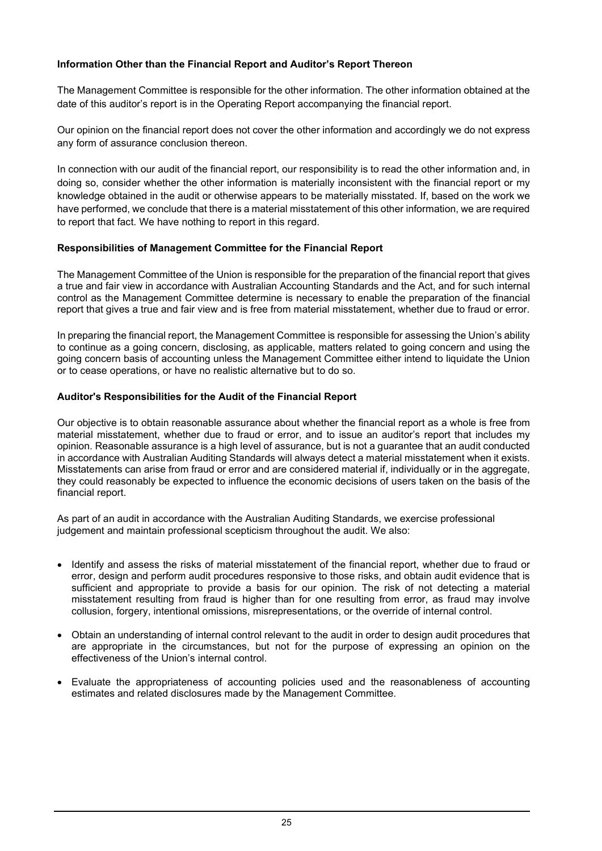### Information Other than the Financial Report and Auditor's Report Thereon

The Management Committee is responsible for the other information. The other information obtained at the date of this auditor's report is in the Operating Report accompanying the financial report.

Our opinion on the financial report does not cover the other information and accordingly we do not express any form of assurance conclusion thereon.

In connection with our audit of the financial report, our responsibility is to read the other information and, in doing so, consider whether the other information is materially inconsistent with the financial report or my knowledge obtained in the audit or otherwise appears to be materially misstated. If, based on the work we have performed, we conclude that there is a material misstatement of this other information, we are required to report that fact. We have nothing to report in this regard.

### Responsibilities of Management Committee for the Financial Report

The Management Committee of the Union is responsible for the preparation of the financial report that gives a true and fair view in accordance with Australian Accounting Standards and the Act, and for such internal control as the Management Committee determine is necessary to enable the preparation of the financial report that gives a true and fair view and is free from material misstatement, whether due to fraud or error.

In preparing the financial report, the Management Committee is responsible for assessing the Union's ability to continue as a going concern, disclosing, as applicable, matters related to going concern and using the going concern basis of accounting unless the Management Committee either intend to liquidate the Union or to cease operations, or have no realistic alternative but to do so.

### Auditor's Responsibilities for the Audit of the Financial Report

Our objective is to obtain reasonable assurance about whether the financial report as a whole is free from material misstatement, whether due to fraud or error, and to issue an auditor's report that includes my opinion. Reasonable assurance is a high level of assurance, but is not a guarantee that an audit conducted in accordance with Australian Auditing Standards will always detect a material misstatement when it exists. Misstatements can arise from fraud or error and are considered material if, individually or in the aggregate, they could reasonably be expected to influence the economic decisions of users taken on the basis of the financial report.

As part of an audit in accordance with the Australian Auditing Standards, we exercise professional judgement and maintain professional scepticism throughout the audit. We also:

- Identify and assess the risks of material misstatement of the financial report, whether due to fraud or error, design and perform audit procedures responsive to those risks, and obtain audit evidence that is sufficient and appropriate to provide a basis for our opinion. The risk of not detecting a material misstatement resulting from fraud is higher than for one resulting from error, as fraud may involve collusion, forgery, intentional omissions, misrepresentations, or the override of internal control.
- Obtain an understanding of internal control relevant to the audit in order to design audit procedures that are appropriate in the circumstances, but not for the purpose of expressing an opinion on the effectiveness of the Union's internal control.
- Evaluate the appropriateness of accounting policies used and the reasonableness of accounting estimates and related disclosures made by the Management Committee.